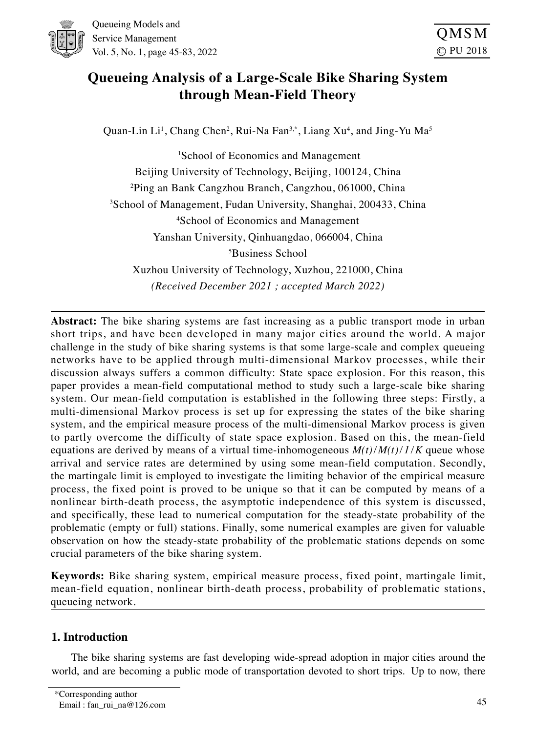

Queueing Models and Service Management Vol. 5, No. 1, page 45-83, 2022

# **Queueing Analysis of a Large-Scale Bike Sharing System through Mean-Field Theory**

Quan-Lin Li<sup>1</sup>, Chang Chen<sup>2</sup>, Rui-Na Fan<sup>3,\*</sup>, Liang Xu<sup>4</sup>, and Jing-Yu Ma<sup>5</sup>

1 School of Economics and Management Beijing University of Technology, Beijing, 100124, China 2 Ping an Bank Cangzhou Branch, Cangzhou, 061000, China 3 School of Management, Fudan University, Shanghai, 200433, China 4 School of Economics and Management Yanshan University, Qinhuangdao, 066004, China 5 Business School Xuzhou University of Technology, Xuzhou, 221000, China *(Received December 2021 ; accepted March 2022)*

**Abstract:** The bike sharing systems are fast increasing as a public transport mode in urban short trips, and have been developed in many major cities around the world. A major challenge in the study of bike sharing systems is that some large-scale and complex queueing networks have to be applied through multi-dimensional Markov processes, while their discussion always suffers a common difficulty: State space explosion. For this reason, this paper provides a mean-field computational method to study such a large-scale bike sharing system. Our mean-field computation is established in the following three steps: Firstly, a multi-dimensional Markov process is set up for expressing the states of the bike sharing system, and the empirical measure process of the multi-dimensional Markov process is given to partly overcome the difficulty of state space explosion. Based on this, the mean-field equations are derived by means of a virtual time-inhomogeneous  $M(t)/M(t)/I/K$  queue whose arrival and service rates are determined by using some mean-field computation. Secondly, the martingale limit is employed to investigate the limiting behavior of the empirical measure process, the fixed point is proved to be unique so that it can be computed by means of a nonlinear birth-death process, the asymptotic independence of this system is discussed, and specifically, these lead to numerical computation for the steady-state probability of the problematic (empty or full) stations. Finally, some numerical examples are given for valuable observation on how the steady-state probability of the problematic stations depends on some crucial parameters of the bike sharing system.

**Keywords:** Bike sharing system, empirical measure process, fixed point, martingale limit, mean-field equation, nonlinear birth-death process, probability of problematic stations, queueing network.

# 1. Introduction

The bike sharing systems are fast developing wide-spread adoption in major cities around the world, and are becoming a public mode of transportation devoted to short trips. Up to now, there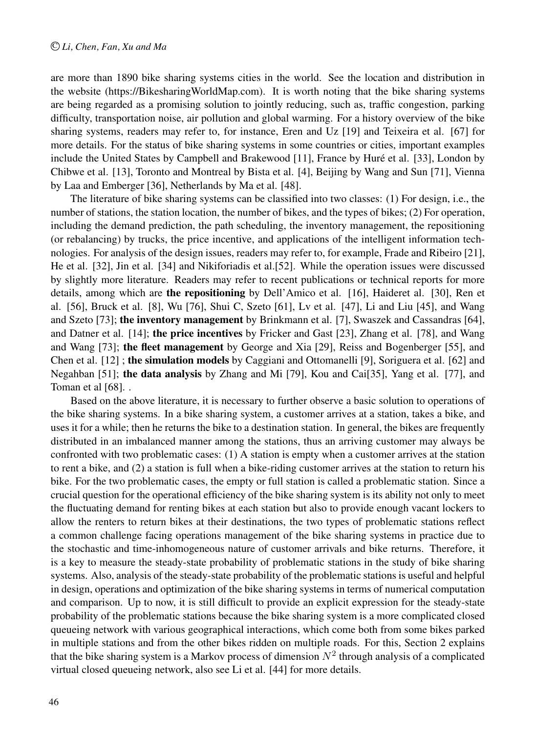are more than 1890 bike sharing systems cities in the world. See the location and distribution in the website (https://BikesharingWorldMap.com). It is worth noting that the bike sharing systems are being regarded as a promising solution to jointly reducing, such as, traffic congestion, parking difficulty, transportation noise, air pollution and global warming. For a history overview of the bike sharing systems, readers may refer to, for instance, Eren and Uz [19] and Teixeira et al. [67] for more details. For the status of bike sharing systems in some countries or cities, important examples include the United States by Campbell and Brakewood [11], France by Hure et al. [33], London by ´ Chibwe et al. [13], Toronto and Montreal by Bista et al. [4], Beijing by Wang and Sun [71], Vienna by Laa and Emberger [36], Netherlands by Ma et al. [48].

The literature of bike sharing systems can be classified into two classes: (1) For design, i.e., the number of stations, the station location, the number of bikes, and the types of bikes; (2) For operation, including the demand prediction, the path scheduling, the inventory management, the repositioning (or rebalancing) by trucks, the price incentive, and applications of the intelligent information technologies. For analysis of the design issues, readers may refer to, for example, Frade and Ribeiro [21], He et al. [32], Jin et al. [34] and Nikiforiadis et al.[52]. While the operation issues were discussed by slightly more literature. Readers may refer to recent publications or technical reports for more details, among which are the repositioning by Dell'Amico et al. [16], Haideret al. [30], Ren et al. [56], Bruck et al. [8], Wu [76], Shui C, Szeto [61], Lv et al. [47], Li and Liu [45], and Wang and Szeto [73]; the inventory management by Brinkmann et al. [7], Swaszek and Cassandras [64], and Datner et al. [14]; the price incentives by Fricker and Gast [23], Zhang et al. [78], and Wang and Wang [73]; the fleet management by George and Xia [29], Reiss and Bogenberger [55], and Chen et al. [12] ; the simulation models by Caggiani and Ottomanelli [9], Soriguera et al. [62] and Negahban [51]; the data analysis by Zhang and Mi [79], Kou and Cai[35], Yang et al. [77], and Toman et al [68]..

Based on the above literature, it is necessary to further observe a basic solution to operations of the bike sharing systems. In a bike sharing system, a customer arrives at a station, takes a bike, and uses it for a while; then he returns the bike to a destination station. In general, the bikes are frequently distributed in an imbalanced manner among the stations, thus an arriving customer may always be confronted with two problematic cases: (1) A station is empty when a customer arrives at the station to rent a bike, and (2) a station is full when a bike-riding customer arrives at the station to return his bike. For the two problematic cases, the empty or full station is called a problematic station. Since a crucial question for the operational efficiency of the bike sharing system is its ability not only to meet the fluctuating demand for renting bikes at each station but also to provide enough vacant lockers to allow the renters to return bikes at their destinations, the two types of problematic stations reflect a common challenge facing operations management of the bike sharing systems in practice due to the stochastic and time-inhomogeneous nature of customer arrivals and bike returns. Therefore, it is a key to measure the steady-state probability of problematic stations in the study of bike sharing systems. Also, analysis of the steady-state probability of the problematic stations is useful and helpful in design, operations and optimization of the bike sharing systems in terms of numerical computation and comparison. Up to now, it is still difficult to provide an explicit expression for the steady-state probability of the problematic stations because the bike sharing system is a more complicated closed queueing network with various geographical interactions, which come both from some bikes parked in multiple stations and from the other bikes ridden on multiple roads. For this, Section 2 explains that the bike sharing system is a Markov process of dimension  $N^2$  through analysis of a complicated virtual closed queueing network, also see Li et al. [44] for more details.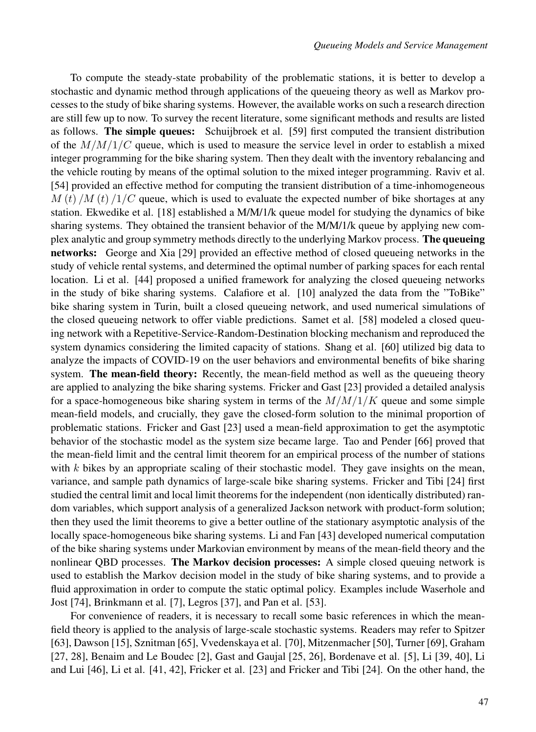To compute the steady-state probability of the problematic stations, it is better to develop a stochastic and dynamic method through applications of the queueing theory as well as Markov processes to the study of bike sharing systems. However, the available works on such a research direction are still few up to now. To survey the recent literature, some significant methods and results are listed as follows. The simple queues: Schuijbroek et al. [59] first computed the transient distribution of the  $M/M/1/C$  queue, which is used to measure the service level in order to establish a mixed integer programming for the bike sharing system. Then they dealt with the inventory rebalancing and the vehicle routing by means of the optimal solution to the mixed integer programming. Raviv et al. [54] provided an effective method for computing the transient distribution of a time-inhomogeneous  $M(t)/M(t)/I/C$  queue, which is used to evaluate the expected number of bike shortages at any station. Ekwedike et al. [18] established a M/M/1/k queue model for studying the dynamics of bike sharing systems. They obtained the transient behavior of the M/M/1/k queue by applying new complex analytic and group symmetry methods directly to the underlying Markov process. The queueing networks: George and Xia [29] provided an effective method of closed queueing networks in the study of vehicle rental systems, and determined the optimal number of parking spaces for each rental location. Li et al. [44] proposed a unified framework for analyzing the closed queueing networks in the study of bike sharing systems. Calafiore et al. [10] analyzed the data from the "ToBike" bike sharing system in Turin, built a closed queueing network, and used numerical simulations of the closed queueing network to offer viable predictions. Samet et al. [58] modeled a closed queuing network with a Repetitive-Service-Random-Destination blocking mechanism and reproduced the system dynamics considering the limited capacity of stations. Shang et al. [60] utilized big data to analyze the impacts of COVID-19 on the user behaviors and environmental benefits of bike sharing system. The mean-field theory: Recently, the mean-field method as well as the queueing theory are applied to analyzing the bike sharing systems. Fricker and Gast [23] provided a detailed analysis for a space-homogeneous bike sharing system in terms of the  $M/M/1/K$  queue and some simple mean-field models, and crucially, they gave the closed-form solution to the minimal proportion of problematic stations. Fricker and Gast [23] used a mean-field approximation to get the asymptotic behavior of the stochastic model as the system size became large. Tao and Pender [66] proved that the mean-field limit and the central limit theorem for an empirical process of the number of stations with  $k$  bikes by an appropriate scaling of their stochastic model. They gave insights on the mean, variance, and sample path dynamics of large-scale bike sharing systems. Fricker and Tibi [24] first studied the central limit and local limit theorems for the independent (non identically distributed) random variables, which support analysis of a generalized Jackson network with product-form solution; then they used the limit theorems to give a better outline of the stationary asymptotic analysis of the locally space-homogeneous bike sharing systems. Li and Fan [43] developed numerical computation of the bike sharing systems under Markovian environment by means of the mean-field theory and the nonlinear QBD processes. The Markov decision processes: A simple closed queuing network is used to establish the Markov decision model in the study of bike sharing systems, and to provide a fluid approximation in order to compute the static optimal policy. Examples include Waserhole and Jost [74], Brinkmann et al. [7], Legros [37], and Pan et al. [53].

For convenience of readers, it is necessary to recall some basic references in which the meanfield theory is applied to the analysis of large-scale stochastic systems. Readers may refer to Spitzer [63], Dawson [15], Sznitman [65], Vvedenskaya et al. [70], Mitzenmacher [50], Turner [69], Graham [27, 28], Benaim and Le Boudec [2], Gast and Gaujal [25, 26], Bordenave et al. [5], Li [39, 40], Li and Lui [46], Li et al. [41, 42], Fricker et al. [23] and Fricker and Tibi [24]. On the other hand, the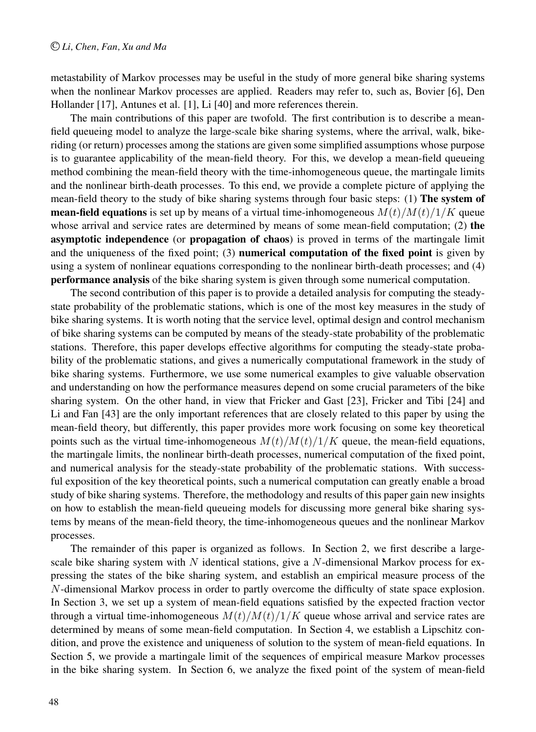metastability of Markov processes may be useful in the study of more general bike sharing systems when the nonlinear Markov processes are applied. Readers may refer to, such as, Bovier [6], Den Hollander [17], Antunes et al. [1], Li [40] and more references therein.

The main contributions of this paper are twofold. The first contribution is to describe a meanfield queueing model to analyze the large-scale bike sharing systems, where the arrival, walk, bikeriding (or return) processes among the stations are given some simplified assumptions whose purpose is to guarantee applicability of the mean-field theory. For this, we develop a mean-field queueing method combining the mean-field theory with the time-inhomogeneous queue, the martingale limits and the nonlinear birth-death processes. To this end, we provide a complete picture of applying the mean-field theory to the study of bike sharing systems through four basic steps: (1) The system of **mean-field equations** is set up by means of a virtual time-inhomogeneous  $M(t)/M(t)/1/K$  queue whose arrival and service rates are determined by means of some mean-field computation; (2) the asymptotic independence (or propagation of chaos) is proved in terms of the martingale limit and the uniqueness of the fixed point; (3) numerical computation of the fixed point is given by using a system of nonlinear equations corresponding to the nonlinear birth-death processes; and (4) performance analysis of the bike sharing system is given through some numerical computation.

The second contribution of this paper is to provide a detailed analysis for computing the steadystate probability of the problematic stations, which is one of the most key measures in the study of bike sharing systems. It is worth noting that the service level, optimal design and control mechanism of bike sharing systems can be computed by means of the steady-state probability of the problematic stations. Therefore, this paper develops effective algorithms for computing the steady-state probability of the problematic stations, and gives a numerically computational framework in the study of bike sharing systems. Furthermore, we use some numerical examples to give valuable observation and understanding on how the performance measures depend on some crucial parameters of the bike sharing system. On the other hand, in view that Fricker and Gast [23], Fricker and Tibi [24] and Li and Fan [43] are the only important references that are closely related to this paper by using the mean-field theory, but differently, this paper provides more work focusing on some key theoretical points such as the virtual time-inhomogeneous  $M(t)/M(t)/1/K$  queue, the mean-field equations, the martingale limits, the nonlinear birth-death processes, numerical computation of the fixed point, and numerical analysis for the steady-state probability of the problematic stations. With successful exposition of the key theoretical points, such a numerical computation can greatly enable a broad study of bike sharing systems. Therefore, the methodology and results of this paper gain new insights on how to establish the mean-field queueing models for discussing more general bike sharing systems by means of the mean-field theory, the time-inhomogeneous queues and the nonlinear Markov processes.

The remainder of this paper is organized as follows. In Section 2, we first describe a largescale bike sharing system with  $N$  identical stations, give a  $N$ -dimensional Markov process for expressing the states of the bike sharing system, and establish an empirical measure process of the N-dimensional Markov process in order to partly overcome the difficulty of state space explosion. In Section 3, we set up a system of mean-field equations satisfied by the expected fraction vector through a virtual time-inhomogeneous  $M(t)/M(t)/1/K$  queue whose arrival and service rates are determined by means of some mean-field computation. In Section 4, we establish a Lipschitz condition, and prove the existence and uniqueness of solution to the system of mean-field equations. In Section 5, we provide a martingale limit of the sequences of empirical measure Markov processes in the bike sharing system. In Section 6, we analyze the fixed point of the system of mean-field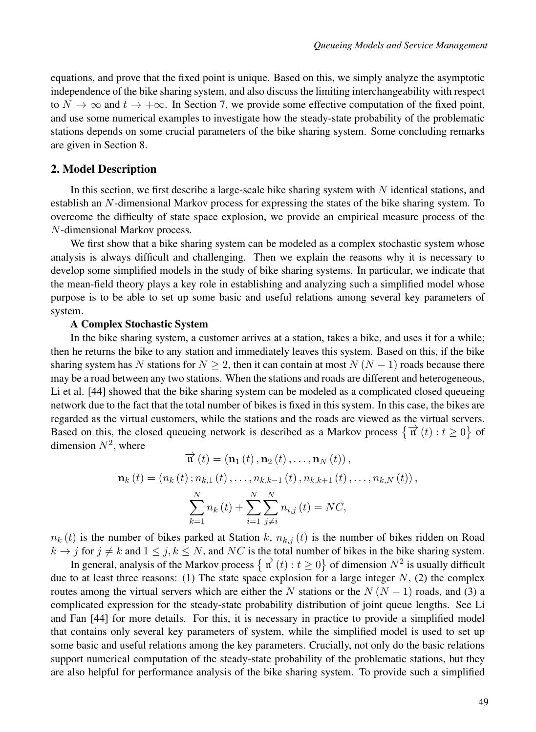equations, and prove that the fixed point is unique. Based on this, we simply analyze the asymptotic independence of the bike sharing system, and also discuss the limiting interchangeability with respect to  $N \to \infty$  and  $t \to +\infty$ . In Section 7, we provide some effective computation of the fixed point, and use some numerical examples to investigate how the steady-state probability of the problematic stations depends on some crucial parameters of the bike sharing system. Some concluding remarks are given in Section 8.

## 2. Model Description

In this section, we first describe a large-scale bike sharing system with  $N$  identical stations, and establish an N-dimensional Markov process for expressing the states of the bike sharing system. To overcome the difficulty of state space explosion, we provide an empirical measure process of the N-dimensional Markov process.

We first show that a bike sharing system can be modeled as a complex stochastic system whose analysis is always difficult and challenging. Then we explain the reasons why it is necessary to develop some simplified models in the study of bike sharing systems. In particular, we indicate that the mean-field theory plays a key role in establishing and analyzing such a simplified model whose purpose is to be able to set up some basic and useful relations among several key parameters of system.

#### A Complex Stochastic System

In the bike sharing system, a customer arrives at a station, takes a bike, and uses it for a while; then he returns the bike to any station and immediately leaves this system. Based on this, if the bike sharing system has N stations for  $N \ge 2$ , then it can contain at most  $N (N - 1)$  roads because there may be a road between any two stations. When the stations and roads are different and heterogeneous, Li et al. [44] showed that the bike sharing system can be modeled as a complicated closed queueing network due to the fact that the total number of bikes is fixed in this system. In this case, the bikes are regarded as the virtual customers, while the stations and the roads are viewed as the virtual servers. Based on this, the closed queueing network is described as a Markov process  $\{\vec{n}(t): t \ge 0\}$  of dimension  $N^2$ , where

$$
\overrightarrow{n}(t) = (\mathbf{n}_1(t), \mathbf{n}_2(t), ..., \mathbf{n}_N(t)),
$$
  

$$
\mathbf{n}_k(t) = (n_k(t); n_{k,1}(t), ..., n_{k,k-1}(t), n_{k,k+1}(t), ..., n_{k,N}(t)),
$$
  

$$
\sum_{k=1}^N n_k(t) + \sum_{i=1}^N \sum_{j \neq i}^N n_{i,j}(t) = NC,
$$

 $n_k(t)$  is the number of bikes parked at Station k,  $n_{k,i}(t)$  is the number of bikes ridden on Road  $k \to j$  for  $j \neq k$  and  $1 \leq j, k \leq N$ , and NC is the total number of bikes in the bike sharing system.

In general, analysis of the Markov process  $\{\vec{n}(t): t \ge 0\}$  of dimension  $N^2$  is usually difficult due to at least three reasons: (1) The state space explosion for a large integer  $N$ , (2) the complex routes among the virtual servers which are either the N stations or the  $N (N - 1)$  roads, and (3) a complicated expression for the steady-state probability distribution of joint queue lengths. See Li and Fan [44] for more details. For this, it is necessary in practice to provide a simplified model that contains only several key parameters of system, while the simplified model is used to set up some basic and useful relations among the key parameters. Crucially, not only do the basic relations support numerical computation of the steady-state probability of the problematic stations, but they are also helpful for performance analysis of the bike sharing system. To provide such a simplified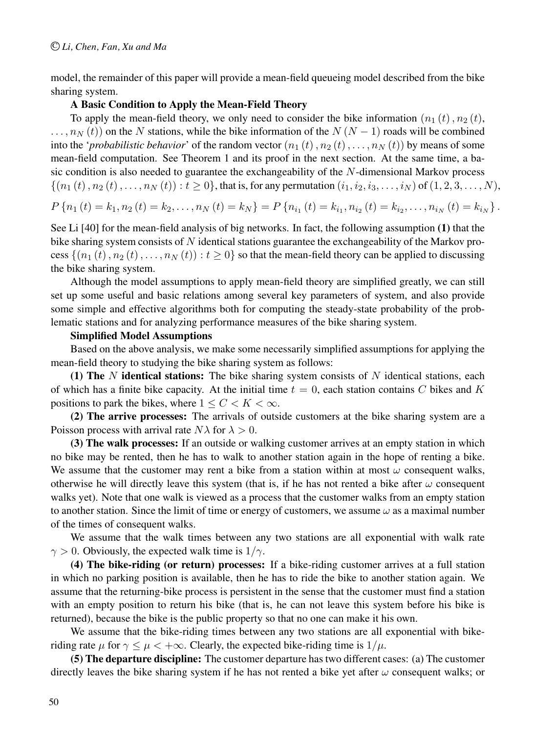model, the remainder of this paper will provide a mean-field queueing model described from the bike sharing system.

# A Basic Condition to Apply the Mean-Field Theory

To apply the mean-field theory, we only need to consider the bike information  $(n_1 (t), n_2 (t))$ ,  $\ldots$ ,  $n_N(t)$  on the N stations, while the bike information of the N (N − 1) roads will be combined into the '*probabilistic behavior*' of the random vector  $(n_1 (t), n_2 (t), \ldots, n_N (t))$  by means of some mean-field computation. See Theorem 1 and its proof in the next section. At the same time, a basic condition is also needed to guarantee the exchangeability of the N-dimensional Markov process  $\{(n_1 (t), n_2 (t), \ldots, n_N (t)) : t \ge 0\}$ , that is, for any permutation  $(i_1, i_2, i_3, \ldots, i_N)$  of  $(1, 2, 3, \ldots, N)$ ,

$$
P\left\{n_1\left(t\right) = k_1, n_2\left(t\right) = k_2, \ldots, n_N\left(t\right) = k_N\right\} = P\left\{n_{i_1}\left(t\right) = k_{i_1}, n_{i_2}\left(t\right) = k_{i_2}, \ldots, n_{i_N}\left(t\right) = k_{i_N}\right\}.
$$

See Li [40] for the mean-field analysis of big networks. In fact, the following assumption (1) that the bike sharing system consists of N identical stations guarantee the exchangeability of the Markov process  $\{(n_1 (t), n_2 (t), \ldots, n_N (t)) : t \ge 0\}$  so that the mean-field theory can be applied to discussing the bike sharing system.

Although the model assumptions to apply mean-field theory are simplified greatly, we can still set up some useful and basic relations among several key parameters of system, and also provide some simple and effective algorithms both for computing the steady-state probability of the problematic stations and for analyzing performance measures of the bike sharing system.

### Simplified Model Assumptions

Based on the above analysis, we make some necessarily simplified assumptions for applying the mean-field theory to studying the bike sharing system as follows:

(1) The N identical stations: The bike sharing system consists of N identical stations, each of which has a finite bike capacity. At the initial time  $t = 0$ , each station contains C bikes and K positions to park the bikes, where  $1 \leq C < K < \infty$ .

(2) The arrive processes: The arrivals of outside customers at the bike sharing system are a Poisson process with arrival rate  $N\lambda$  for  $\lambda > 0$ .

(3) The walk processes: If an outside or walking customer arrives at an empty station in which no bike may be rented, then he has to walk to another station again in the hope of renting a bike. We assume that the customer may rent a bike from a station within at most  $\omega$  consequent walks, otherwise he will directly leave this system (that is, if he has not rented a bike after  $\omega$  consequent walks yet). Note that one walk is viewed as a process that the customer walks from an empty station to another station. Since the limit of time or energy of customers, we assume  $\omega$  as a maximal number of the times of consequent walks.

We assume that the walk times between any two stations are all exponential with walk rate  $\gamma > 0$ . Obviously, the expected walk time is  $1/\gamma$ .

(4) The bike-riding (or return) processes: If a bike-riding customer arrives at a full station in which no parking position is available, then he has to ride the bike to another station again. We assume that the returning-bike process is persistent in the sense that the customer must find a station with an empty position to return his bike (that is, he can not leave this system before his bike is returned), because the bike is the public property so that no one can make it his own.

We assume that the bike-riding times between any two stations are all exponential with bikeriding rate  $\mu$  for  $\gamma \leq \mu < +\infty$ . Clearly, the expected bike-riding time is  $1/\mu$ .

(5) The departure discipline: The customer departure has two different cases: (a) The customer directly leaves the bike sharing system if he has not rented a bike yet after  $\omega$  consequent walks; or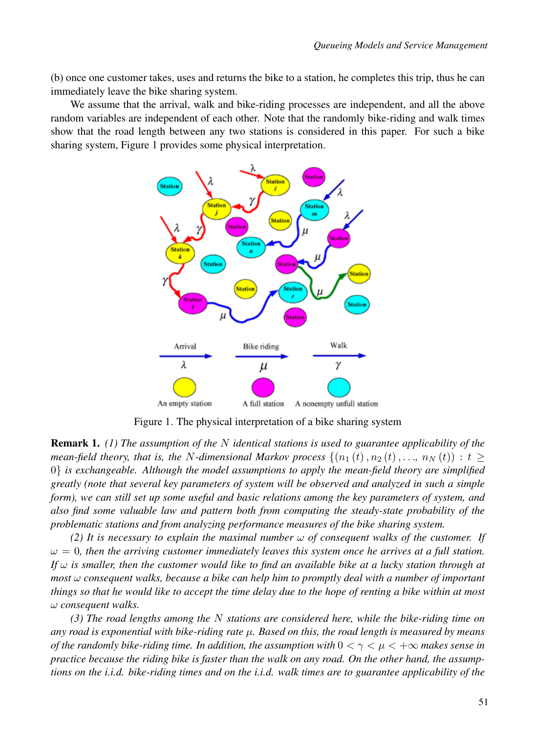(b) once one customer takes, uses and returns the bike to a station, he completes this trip, thus he can immediately leave the bike sharing system.

We assume that the arrival, walk and bike-riding processes are independent, and all the above random variables are independent of each other. Note that the randomly bike-riding and walk times show that the road length between any two stations is considered in this paper. For such a bike sharing system, Figure 1 provides some physical interpretation.



Figure 1. The physical interpretation of a bike sharing system

Remark 1. *(1) The assumption of the* N *identical stations is used to guarantee applicability of the mean-field theory, that is, the* N-dimensional Markov process  $\{(n_1(t), n_2(t),..., n_N(t)) : t \geq 0\}$ 0} *is exchangeable. Although the model assumptions to apply the mean-field theory are simplified greatly (note that several key parameters of system will be observed and analyzed in such a simple form), we can still set up some useful and basic relations among the key parameters of system, and also find some valuable law and pattern both from computing the steady-state probability of the problematic stations and from analyzing performance measures of the bike sharing system.*

*(2) It is necessary to explain the maximal number* ω *of consequent walks of the customer. If*  $\omega = 0$ , then the arriving customer immediately leaves this system once he arrives at a full station. *If*  $\omega$  *is smaller, then the customer would like to find an available bike at a lucky station through at most* ω *consequent walks, because a bike can help him to promptly deal with a number of important things so that he would like to accept the time delay due to the hope of renting a bike within at most* ω *consequent walks.*

*(3) The road lengths among the* N *stations are considered here, while the bike-riding time on any road is exponential with bike-riding rate* µ*. Based on this, the road length is measured by means of the randomly bike-riding time. In addition, the assumption with*  $0 < \gamma < \mu < +\infty$  *makes sense in practice because the riding bike is faster than the walk on any road. On the other hand, the assumptions on the i.i.d. bike-riding times and on the i.i.d. walk times are to guarantee applicability of the*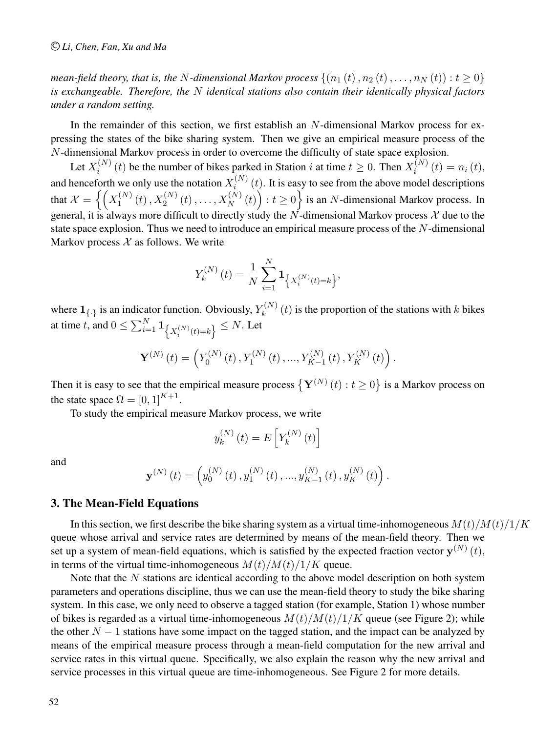*mean-field theory, that is, the* N-dimensional Markov process  $\{(n_1 (t), n_2 (t),...,n_N (t)): t \geq 0\}$ *is exchangeable. Therefore, the* N *identical stations also contain their identically physical factors under a random setting.*

In the remainder of this section, we first establish an N-dimensional Markov process for expressing the states of the bike sharing system. Then we give an empirical measure process of the N-dimensional Markov process in order to overcome the difficulty of state space explosion.

Let  $X_i^{(N)}(t)$  be the number of bikes parked in Station i at time  $t \geq 0$ . Then  $X_i^{(N)}(t) = n_i(t)$ , and henceforth we only use the notation  $X_i^{(N)}(t)$ . It is easy to see from the above model descriptions that  $\mathcal{X} = \left\{ \left( X_1^{(N)}(t), X_2^{(N)}(t), \ldots, X_N^{(N)}(t) \right) : t \ge 0 \right\}$  is an N-dimensional Markov process. In general, it is always more difficult to directly study the N-dimensional Markov process  $\mathcal X$  due to the state space explosion. Thus we need to introduce an empirical measure process of the N-dimensional Markov process  $X$  as follows. We write

$$
Y_k^{(N)}(t) = \frac{1}{N} \sum_{i=1}^N \mathbf{1}_{\left\{X_i^{(N)}(t) = k\right\}},
$$

where  $1_{\{\cdot\}}$  is an indicator function. Obviously,  $Y_k^{(N)}(t)$  is the proportion of the stations with k bikes at time  $t$ , and  $0 \le \sum_{i=1}^N \mathbf{1}_{\left\{X_i^{(N)}(t)=k\right\}} \le N.$  Let

$$
\mathbf{Y}^{(N)}(t) = \left(Y_0^{(N)}(t), Y_1^{(N)}(t), ..., Y_{K-1}^{(N)}(t), Y_K^{(N)}(t)\right).
$$

Then it is easy to see that the empirical measure process  $\{Y^{(N)}(t): t \ge 0\}$  is a Markov process on the state space  $\Omega = [0, 1]^{K+1}$ .

To study the empirical measure Markov process, we write

$$
y_{k}^{\left(N\right)}\left(t\right)=E\left[Y_{k}^{\left(N\right)}\left(t\right)\right]
$$

and

$$
\mathbf{y}^{(N)}(t) = \left(y_0^{(N)}(t), y_1^{(N)}(t), ..., y_{K-1}^{(N)}(t), y_K^{(N)}(t)\right).
$$

### 3. The Mean-Field Equations

In this section, we first describe the bike sharing system as a virtual time-inhomogeneous  $M(t)/M(t)/1/K$ queue whose arrival and service rates are determined by means of the mean-field theory. Then we set up a system of mean-field equations, which is satisfied by the expected fraction vector  $y^{(N)}(t)$ , in terms of the virtual time-inhomogeneous  $M(t)/M(t)/1/K$  queue.

Note that the  $N$  stations are identical according to the above model description on both system parameters and operations discipline, thus we can use the mean-field theory to study the bike sharing system. In this case, we only need to observe a tagged station (for example, Station 1) whose number of bikes is regarded as a virtual time-inhomogeneous  $M(t)/M(t)/1/K$  queue (see Figure 2); while the other  $N-1$  stations have some impact on the tagged station, and the impact can be analyzed by means of the empirical measure process through a mean-field computation for the new arrival and service rates in this virtual queue. Specifically, we also explain the reason why the new arrival and service processes in this virtual queue are time-inhomogeneous. See Figure 2 for more details.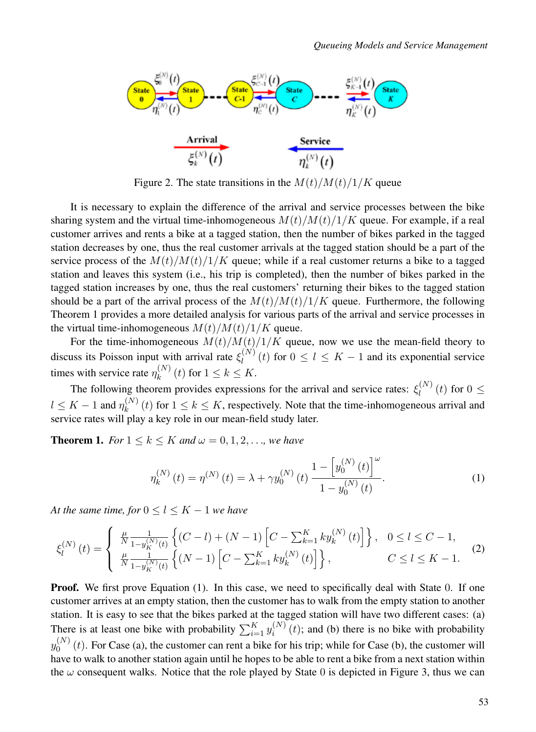

Figure 2. The state transitions in the  $M(t)/M(t)/1/K$  queue

It is necessary to explain the difference of the arrival and service processes between the bike sharing system and the virtual time-inhomogeneous  $M(t)/M(t)/1/K$  queue. For example, if a real customer arrives and rents a bike at a tagged station, then the number of bikes parked in the tagged station decreases by one, thus the real customer arrivals at the tagged station should be a part of the service process of the  $M(t)/M(t)/1/K$  queue; while if a real customer returns a bike to a tagged station and leaves this system (i.e., his trip is completed), then the number of bikes parked in the tagged station increases by one, thus the real customers' returning their bikes to the tagged station should be a part of the arrival process of the  $M(t)/M(t)/1/K$  queue. Furthermore, the following Theorem 1 provides a more detailed analysis for various parts of the arrival and service processes in the virtual time-inhomogeneous  $M(t)/M(t)/1/K$  queue.

For the time-inhomogeneous  $M(t)/M(t)/1/K$  queue, now we use the mean-field theory to discuss its Poisson input with arrival rate  $\xi_l^{(N)}(t)$  for  $0 \le l \le K - 1$  and its exponential service times with service rate  $\eta_k^{(N)}(t)$  for  $1 \le k \le K$ .

The following theorem provides expressions for the arrival and service rates:  $\xi_l^{(N)}(t)$  for  $0 \leq$  $l \leq K - 1$  and  $\eta_k^{(N)}(t)$  for  $1 \leq k \leq K$ , respectively. Note that the time-inhomogeneous arrival and service rates will play a key role in our mean-field study later.

**Theorem 1.** *For*  $1 \le k \le K$  *and*  $\omega = 0, 1, 2, \ldots$ *, we have* 

$$
\eta_k^{(N)}(t) = \eta^{(N)}(t) = \lambda + \gamma y_0^{(N)}(t) \frac{1 - \left[ y_0^{(N)}(t) \right]^{\omega}}{1 - y_0^{(N)}(t)}.
$$
\n(1)

*At the same time, for*  $0 \le l \le K - 1$  *we have* 

$$
\xi_{l}^{(N)}(t) = \begin{cases} \frac{\mu}{N} \frac{1}{1 - y_{K}^{(N)}(t)} \left\{ (C - l) + (N - 1) \left[ C - \sum_{k=1}^{K} k y_{k}^{(N)}(t) \right] \right\}, & 0 \le l \le C - 1, \\ \frac{\mu}{N} \frac{1}{1 - y_{K}^{(N)}(t)} \left\{ (N - 1) \left[ C - \sum_{k=1}^{K} k y_{k}^{(N)}(t) \right] \right\}, & C \le l \le K - 1. \end{cases}
$$
(2)

**Proof.** We first prove Equation (1). In this case, we need to specifically deal with State 0. If one customer arrives at an empty station, then the customer has to walk from the empty station to another station. It is easy to see that the bikes parked at the tagged station will have two different cases: (a) There is at least one bike with probability  $\sum_{i=1}^{K} y_i^{(N)}(t)$ ; and (b) there is no bike with probability  $y_0^{(N)}(t)$ . For Case (a), the customer can rent a bike for his trip; while for Case (b), the customer will have to walk to another station again until he hopes to be able to rent a bike from a next station within the  $\omega$  consequent walks. Notice that the role played by State 0 is depicted in Figure 3, thus we can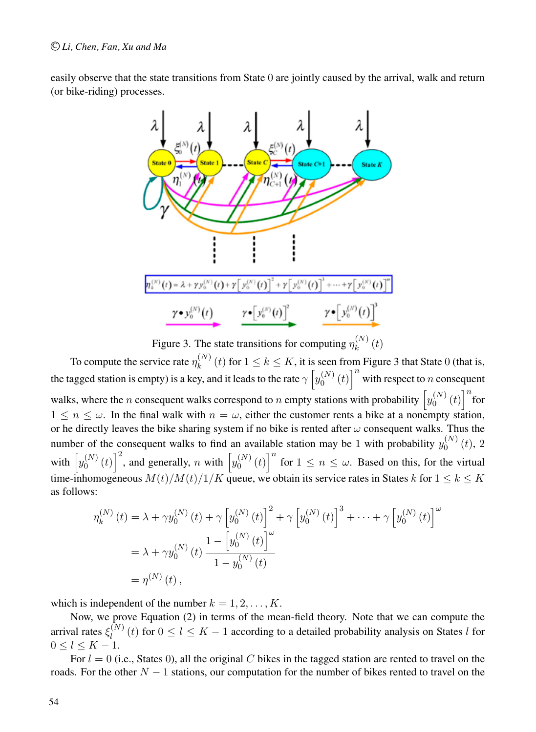easily observe that the state transitions from State 0 are jointly caused by the arrival, walk and return (or bike-riding) processes.



Figure 3. The state transitions for computing  $\eta_k^{(N)}(t)$ 

To compute the service rate  $\eta_k^{(N)}(t)$  for  $1 \le k \le K$ , it is seen from Figure 3 that State 0 (that is, the tagged station is empty) is a key, and it leads to the rate  $\gamma\left[y_0^{(N)}(t)\right]^n$  with respect to n consequent walks, where the *n* consequent walks correspond to *n* empty stations with probability  $\left[y_0^{(N)}(t)\right]^n$  for  $1 \leq n \leq \omega$ . In the final walk with  $n = \omega$ , either the customer rents a bike at a nonempty station, or he directly leaves the bike sharing system if no bike is rented after  $\omega$  consequent walks. Thus the number of the consequent walks to find an available station may be 1 with probability  $y_0^{(N)}(t)$ , 2 with  $\left[y_0^{(N)}(t)\right]^2$ , and generally, n with  $\left[y_0^{(N)}(t)\right]^n$  for  $1 \le n \le \omega$ . Based on this, for the virtual time-inhomogeneous  $M(t)/M(t)/1/K$  queue, we obtain its service rates in States k for  $1 \leq k \leq K$ as follows:

$$
\eta_k^{(N)}(t) = \lambda + \gamma y_0^{(N)}(t) + \gamma \left[ y_0^{(N)}(t) \right]^2 + \gamma \left[ y_0^{(N)}(t) \right]^3 + \dots + \gamma \left[ y_0^{(N)}(t) \right]^{\omega}
$$
  
=  $\lambda + \gamma y_0^{(N)}(t) \frac{1 - \left[ y_0^{(N)}(t) \right]^{\omega}}{1 - y_0^{(N)}(t)}$   
=  $\eta^{(N)}(t)$ ,

which is independent of the number  $k = 1, 2, \ldots, K$ .

Now, we prove Equation (2) in terms of the mean-field theory. Note that we can compute the arrival rates  $\xi_l^{(N)}(t)$  for  $0 \le l \le K-1$  according to a detailed probability analysis on States l for  $0 \le l \le K - 1$ .

For  $l = 0$  (i.e., States 0), all the original C bikes in the tagged station are rented to travel on the roads. For the other  $N-1$  stations, our computation for the number of bikes rented to travel on the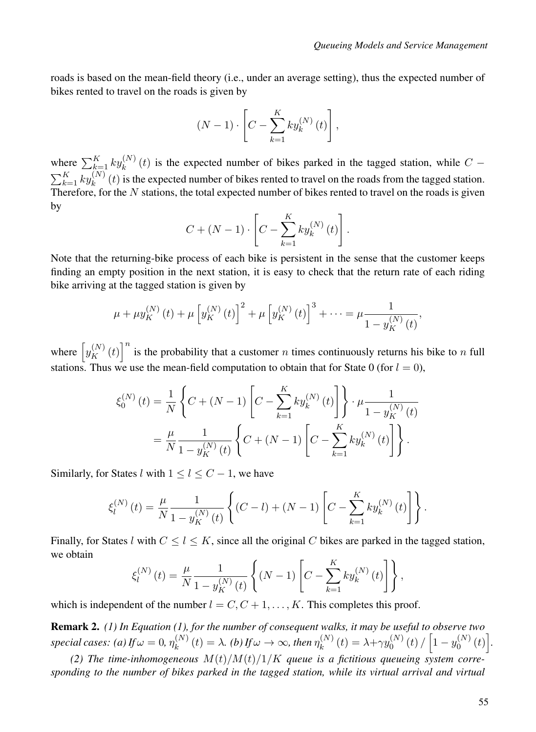roads is based on the mean-field theory (i.e., under an average setting), thus the expected number of bikes rented to travel on the roads is given by

$$
(N-1)\cdot \left[C-\sum_{k=1}^K k y_k^{(N)}(t)\right],
$$

where  $\sum_{k=1}^{K} ky_k^{(N)}(t)$  is the expected number of bikes parked in the tagged station, while  $C - \sum_{k=1}^{K} ky_k^{(N)}(t)$  is the expected number of bikes rented to travel on the roads from the tagged station. Therefore, for the  $N$  stations, the total expected number of bikes rented to travel on the roads is given by

$$
C + (N - 1) \cdot \left[ C - \sum_{k=1}^{K} k y_k^{(N)}(t) \right].
$$

Note that the returning-bike process of each bike is persistent in the sense that the customer keeps finding an empty position in the next station, it is easy to check that the return rate of each riding bike arriving at the tagged station is given by

$$
\mu + \mu y_K^{(N)}(t) + \mu \left[ y_K^{(N)}(t) \right]^2 + \mu \left[ y_K^{(N)}(t) \right]^3 + \dots = \mu \frac{1}{1 - y_K^{(N)}(t)},
$$

where  $\left[y_K^{(N)}(t)\right]^n$  is the probability that a customer n times continuously returns his bike to n full stations. Thus we use the mean-field computation to obtain that for State 0 (for  $l = 0$ ),

$$
\xi_0^{(N)}(t) = \frac{1}{N} \left\{ C + (N - 1) \left[ C - \sum_{k=1}^K k y_k^{(N)}(t) \right] \right\} \cdot \mu \frac{1}{1 - y_K^{(N)}(t)}
$$
  
= 
$$
\frac{\mu}{N} \frac{1}{1 - y_K^{(N)}(t)} \left\{ C + (N - 1) \left[ C - \sum_{k=1}^K k y_k^{(N)}(t) \right] \right\}.
$$

Similarly, for States l with  $1 \leq l \leq C-1$ , we have

$$
\xi_l^{(N)}(t) = \frac{\mu}{N} \frac{1}{1 - y_K^{(N)}(t)} \left\{ (C - l) + (N - 1) \left[ C - \sum_{k=1}^K k y_k^{(N)}(t) \right] \right\}.
$$

Finally, for States l with  $C \leq l \leq K$ , since all the original C bikes are parked in the tagged station, we obtain

$$
\xi_{l}^{(N)}(t) = \frac{\mu}{N} \frac{1}{1 - y_{K}^{(N)}(t)} \left\{ (N - 1) \left[ C - \sum_{k=1}^{K} k y_{k}^{(N)}(t) \right] \right\},\,
$$

which is independent of the number  $l = C, C + 1, \ldots, K$ . This completes this proof.

Remark 2. *(1) In Equation (1), for the number of consequent walks, it may be useful to observe two special cases:* (a) If  $\omega = 0$ ,  $\eta_k^{(N)}(t) = \lambda$ . (b) If  $\omega \to \infty$ , then  $\eta_k^{(N)}(t) = \lambda + \gamma y_0^{(N)}(t) / \left[1 - y_0^{(N)}(t)\right]$ .

(2) The time-inhomogeneous  $M(t)/M(t)/1/K$  queue is a fictitious queueing system corre*sponding to the number of bikes parked in the tagged station, while its virtual arrival and virtual*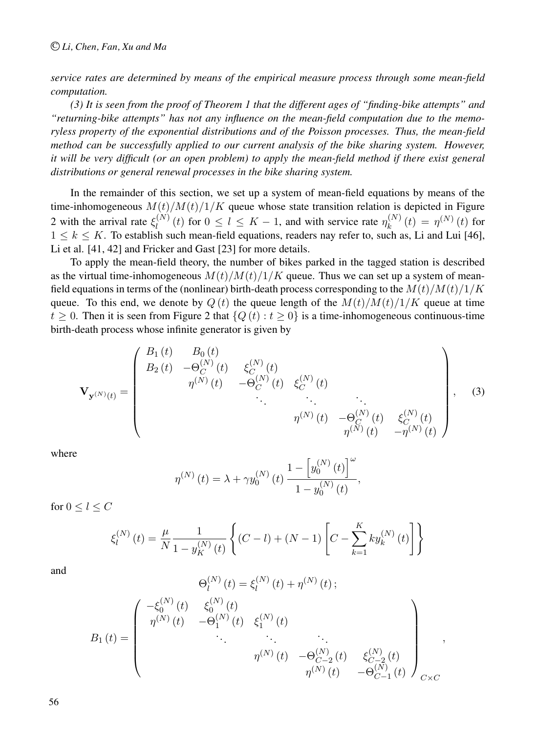*service rates are determined by means of the empirical measure process through some mean-field computation.*

*(3) It is seen from the proof of Theorem 1 that the different ages of "finding-bike attempts" and "returning-bike attempts" has not any influence on the mean-field computation due to the memoryless property of the exponential distributions and of the Poisson processes. Thus, the mean-field method can be successfully applied to our current analysis of the bike sharing system. However, it will be very difficult (or an open problem) to apply the mean-field method if there exist general distributions or general renewal processes in the bike sharing system.*

In the remainder of this section, we set up a system of mean-field equations by means of the time-inhomogeneous  $M(t)/M(t)/1/K$  queue whose state transition relation is depicted in Figure 2 with the arrival rate  $\xi_l^{(N)}(t)$  for  $0 \le l \le K - 1$ , and with service rate  $\eta_k^{(N)}(t) = \eta^{(N)}(t)$  for  $1 \leq k \leq K$ . To establish such mean-field equations, readers nay refer to, such as, Li and Lui [46], Li et al. [41, 42] and Fricker and Gast [23] for more details.

To apply the mean-field theory, the number of bikes parked in the tagged station is described as the virtual time-inhomogeneous  $M(t)/M(t)/1/K$  queue. Thus we can set up a system of meanfield equations in terms of the (nonlinear) birth-death process corresponding to the  $M(t)/M(t)/1/K$ queue. To this end, we denote by  $Q(t)$  the queue length of the  $M(t)/M(t)/1/K$  queue at time  $t > 0$ . Then it is seen from Figure 2 that  $\{Q(t): t > 0\}$  is a time-inhomogeneous continuous-time birth-death process whose infinite generator is given by

$$
\mathbf{V}_{\mathbf{y}^{(N)}(t)} = \begin{pmatrix} B_1(t) & B_0(t) & & \\ B_2(t) & -\Theta_C^{(N)}(t) & \xi_C^{(N)}(t) & & \\ & \eta^{(N)}(t) & -\Theta_C^{(N)}(t) & \xi_C^{(N)}(t) & & \\ & & \ddots & \ddots & \ddots & \\ & & & & \eta^{(N)}(t) & -\Theta_C^{(N)}(t) & \xi_C^{(N)}(t) \\ & & & & & \eta^{(N)}(t) & -\eta^{(N)}(t) \end{pmatrix}, \quad (3)
$$

where

$$
\eta^{(N)}(t) = \lambda + \gamma y_0^{(N)}(t) \frac{1 - \left[ y_0^{(N)}(t) \right]^{\omega}}{1 - y_0^{(N)}(t)},
$$

for  $0 \leq l \leq C$ 

$$
\xi_l^{(N)}(t) = \frac{\mu}{N} \frac{1}{1 - y_K^{(N)}(t)} \left\{ (C - l) + (N - 1) \left[ C - \sum_{k=1}^K k y_k^{(N)}(t) \right] \right\}
$$

and

$$
\Theta_l^{(N)}(t) = \xi_l^{(N)}(t) + \eta^{(N)}(t) ;
$$
\n
$$
B_1(t) = \begin{pmatrix}\n-\xi_0^{(N)}(t) & \xi_0^{(N)}(t) & \xi_1^{(N)}(t) & \dots & \dots & \dots \\
\eta^{(N)}(t) & -\Theta_1^{(N)}(t) & \xi_1^{(N)}(t) & \dots & \dots & \dots \\
\vdots & \vdots & \ddots & \vdots & \ddots & \vdots \\
\eta^{(N)}(t) & -\Theta_{C-2}^{(N)}(t) & \xi_{C-2}^{(N)}(t) & \dots & \dots \\
\vdots & \vdots & \ddots & \vdots & \vdots \\
\eta^{(N)}(t) & -\Theta_{C-1}^{(N)}(t) & \dots & -\Theta_{C-1}^{(N)}(t)\n\end{pmatrix}_{C \times C} ,
$$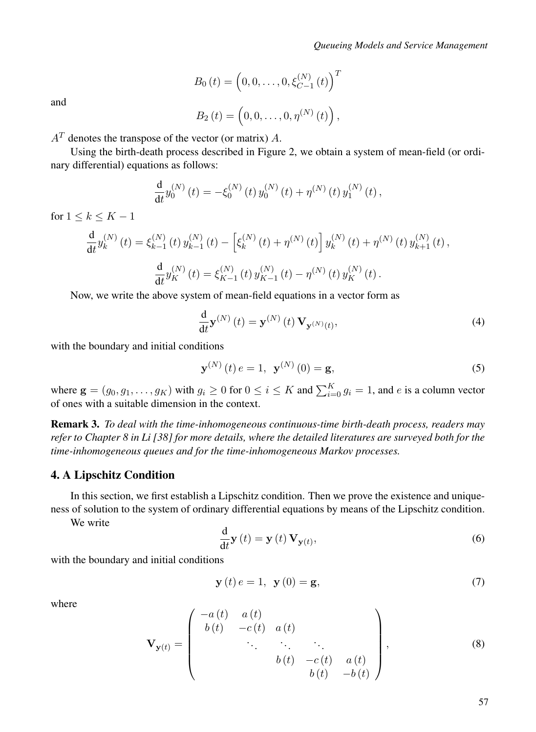### *Queueing Models and Service Management*

$$
B_0(t) = (0, 0, \dots, 0, \xi_{C-1}^{(N)}(t))^{T}
$$

and

$$
B_2(t) = \left(0, 0, \ldots, 0, \eta^{(N)}(t)\right),\,
$$

 $A<sup>T</sup>$  denotes the transpose of the vector (or matrix) A.

Using the birth-death process described in Figure 2, we obtain a system of mean-field (or ordinary differential) equations as follows:

$$
\frac{d}{dt}y_0^{(N)}(t) = -\xi_0^{(N)}(t) y_0^{(N)}(t) + \eta^{(N)}(t) y_1^{(N)}(t) ,
$$

for  $1 \leq k \leq K-1$ 

$$
\frac{d}{dt} y_k^{(N)}(t) = \xi_{k-1}^{(N)}(t) y_{k-1}^{(N)}(t) - \left[\xi_k^{(N)}(t) + \eta^{(N)}(t)\right] y_k^{(N)}(t) + \eta^{(N)}(t) y_{k+1}^{(N)}(t),
$$
  

$$
\frac{d}{dt} y_K^{(N)}(t) = \xi_{K-1}^{(N)}(t) y_{K-1}^{(N)}(t) - \eta^{(N)}(t) y_K^{(N)}(t).
$$

Now, we write the above system of mean-field equations in a vector form as

$$
\frac{\mathrm{d}}{\mathrm{d}t}\mathbf{y}^{(N)}\left(t\right) = \mathbf{y}^{(N)}\left(t\right)\mathbf{V}_{\mathbf{y}^{(N)}(t)},\tag{4}
$$

with the boundary and initial conditions

$$
\mathbf{y}^{(N)}(t) e = 1, \ \mathbf{y}^{(N)}(0) = \mathbf{g}, \tag{5}
$$

where  $\mathbf{g} = (g_0, g_1, \dots, g_K)$  with  $g_i \ge 0$  for  $0 \le i \le K$  and  $\sum_{i=0}^{K} g_i = 1$ , and e is a column vector of ones with a suitable dimension in the context.

Remark 3. *To deal with the time-inhomogeneous continuous-time birth-death process, readers may refer to Chapter 8 in Li [38] for more details, where the detailed literatures are surveyed both for the time-inhomogeneous queues and for the time-inhomogeneous Markov processes.*

### 4. A Lipschitz Condition

In this section, we first establish a Lipschitz condition. Then we prove the existence and uniqueness of solution to the system of ordinary differential equations by means of the Lipschitz condition.

We write

$$
\frac{\mathrm{d}}{\mathrm{d}t}\mathbf{y}\left(t\right) = \mathbf{y}\left(t\right)\mathbf{V}_{\mathbf{y}(t)},\tag{6}
$$

with the boundary and initial conditions

$$
y(t) e = 1, y(0) = g,
$$
 (7)

where

$$
\mathbf{V}_{\mathbf{y}(t)} = \begin{pmatrix} -a(t) & a(t) & & \\ b(t) & -c(t) & a(t) & & \\ & \ddots & \ddots & \ddots & \\ & & b(t) & -c(t) & a(t) \\ & & & b(t) & -b(t) \end{pmatrix}, \tag{8}
$$

57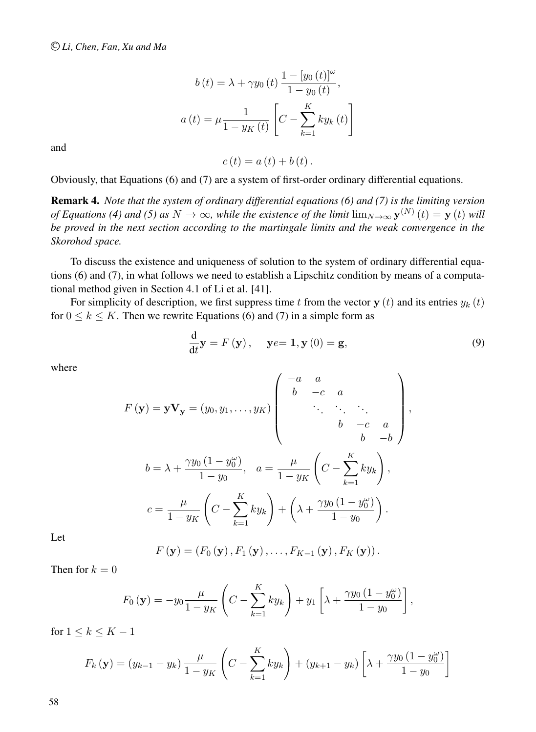$$
b(t) = \lambda + \gamma y_0(t) \frac{1 - [y_0(t)]^{\omega}}{1 - y_0(t)},
$$
  

$$
a(t) = \mu \frac{1}{1 - y_K(t)} \left[ C - \sum_{k=1}^{K} k y_k(t) \right]
$$

and

 $c(t) = a(t) + b(t)$ .

Obviously, that Equations (6) and (7) are a system of first-order ordinary differential equations.

Remark 4. *Note that the system of ordinary differential equations (6) and (7) is the limiting version of Equations (4) and (5) as*  $N \to \infty$ *, while the existence of the limit*  $\lim_{N \to \infty}$   $y^{(N)}(t) = y(t)$  *will be proved in the next section according to the martingale limits and the weak convergence in the Skorohod space.*

To discuss the existence and uniqueness of solution to the system of ordinary differential equations (6) and (7), in what follows we need to establish a Lipschitz condition by means of a computational method given in Section 4.1 of Li et al. [41].

For simplicity of description, we first suppress time t from the vector  $y(t)$  and its entries  $y_k(t)$ for  $0 \le k \le K$ . Then we rewrite Equations (6) and (7) in a simple form as

$$
\frac{\mathrm{d}}{\mathrm{d}t}\mathbf{y} = F(\mathbf{y}), \quad \mathbf{y}e = \mathbf{1}, \mathbf{y}(0) = \mathbf{g}, \tag{9}
$$

 $\lambda$ 

,

where

$$
F(\mathbf{y}) = \mathbf{y} \mathbf{V}_{\mathbf{y}} = (y_0, y_1, \dots, y_K) \begin{pmatrix} -a & a & & & \\ b & -c & a & & \\ & \ddots & \ddots & \ddots & \\ & & b & -c & a & \\ & & & b & -b \end{pmatrix}
$$

$$
b = \lambda + \frac{\gamma y_0 (1 - y_0^{\omega})}{1 - y_0}, \quad a = \frac{\mu}{1 - y_K} \left( C - \sum_{k=1}^K k y_k \right),
$$

$$
c = \frac{\mu}{1 - y_K} \left( C - \sum_{k=1}^K k y_k \right) + \left( \lambda + \frac{\gamma y_0 (1 - y_0^{\omega})}{1 - y_0} \right).
$$

Let

$$
F(\mathbf{y}) = (F_0(\mathbf{y}), F_1(\mathbf{y}), \dots, F_{K-1}(\mathbf{y}), F_K(\mathbf{y})).
$$

Then for  $k = 0$ 

$$
F_0(\mathbf{y}) = -y_0 \frac{\mu}{1 - y_K} \left( C - \sum_{k=1}^K k y_k \right) + y_1 \left[ \lambda + \frac{\gamma y_0 (1 - y_0^{\omega})}{1 - y_0} \right],
$$

for  $1 \leq k \leq K-1$ 

$$
F_k(\mathbf{y}) = (y_{k-1} - y_k) \frac{\mu}{1 - y_K} \left( C - \sum_{k=1}^K k y_k \right) + (y_{k+1} - y_k) \left[ \lambda + \frac{\gamma y_0 (1 - y_0^{\omega})}{1 - y_0} \right]
$$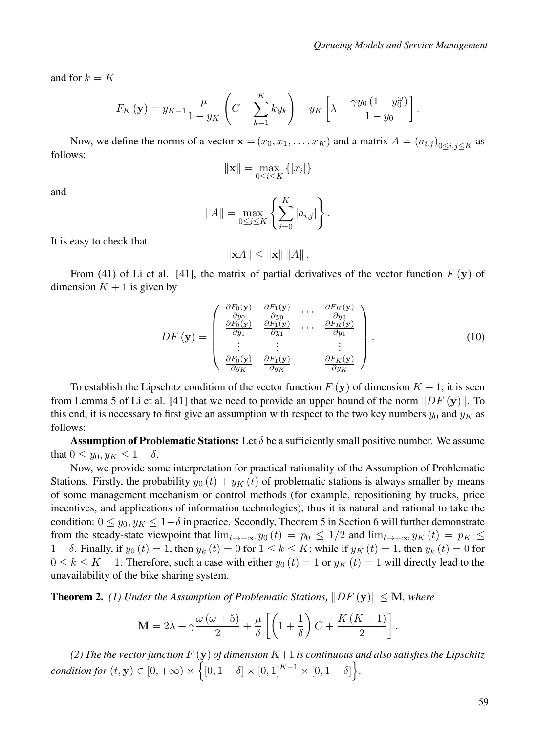and for  $k = K$ 

$$
F_K\left(\mathbf{y}\right) = y_{K-1} \frac{\mu}{1 - y_K} \left( C - \sum_{k=1}^K k y_k \right) - y_K \left[ \lambda + \frac{\gamma y_0 \left(1 - y_0^{\omega}\right)}{1 - y_0} \right].
$$

Now, we define the norms of a vector  $\mathbf{x} = (x_0, x_1, \dots, x_K)$  and a matrix  $A = (a_{i,j})_{0 \le i,j \le K}$  as follows:

$$
\|\mathbf{x}\| = \max_{0 \le i \le K} \{|x_i|\}
$$

and

$$
||A|| = \max_{0 \le j \le K} \left\{ \sum_{i=0}^{K} |a_{i,j}| \right\}.
$$

It is easy to check that

$$
\|\mathbf{x}A\| \le \|\mathbf{x}\| \, \|A\| \, .
$$

From (41) of Li et al. [41], the matrix of partial derivatives of the vector function  $F(y)$  of dimension  $K + 1$  is given by

$$
DF(\mathbf{y}) = \begin{pmatrix} \frac{\partial F_0(\mathbf{y})}{\partial y_0} & \frac{\partial F_1(\mathbf{y})}{\partial y_0} & \cdots & \frac{\partial F_K(\mathbf{y})}{\partial y_0} \\ \frac{\partial F_0(\mathbf{y})}{\partial y_1} & \frac{\partial F_1(\mathbf{y})}{\partial y_1} & \cdots & \frac{\partial F_K(\mathbf{y})}{\partial y_1} \\ \vdots & \vdots & & \vdots \\ \frac{\partial F_0(\mathbf{y})}{\partial y_K} & \frac{\partial F_1(\mathbf{y})}{\partial y_K} & \frac{\partial F_K(\mathbf{y})}{\partial y_K} \end{pmatrix} .
$$
 (10)

To establish the Lipschitz condition of the vector function  $F(y)$  of dimension  $K + 1$ , it is seen from Lemma 5 of Li et al. [41] that we need to provide an upper bound of the norm  $\|DF(y)\|$ . To this end, it is necessary to first give an assumption with respect to the two key numbers  $y_0$  and  $y_K$  as follows:

**Assumption of Problematic Stations:** Let  $\delta$  be a sufficiently small positive number. We assume that  $0 \le y_0, y_K \le 1 - \delta$ .

Now, we provide some interpretation for practical rationality of the Assumption of Problematic Stations. Firstly, the probability  $y_0 (t) + y_K (t)$  of problematic stations is always smaller by means of some management mechanism or control methods (for example, repositioning by trucks, price incentives, and applications of information technologies), thus it is natural and rational to take the condition:  $0 \le y_0, y_K \le 1-\delta$  in practice. Secondly, Theorem 5 in Section 6 will further demonstrate from the steady-state viewpoint that  $\lim_{t\to+\infty} y_0(t) = p_0 \leq 1/2$  and  $\lim_{t\to+\infty} y_K(t) = p_K \leq$  $1 - \delta$ . Finally, if  $y_0(t) = 1$ , then  $y_k(t) = 0$  for  $1 \le k \le K$ ; while if  $y_K(t) = 1$ , then  $y_k(t) = 0$  for  $0 \le k \le K - 1$ . Therefore, such a case with either  $y_0(t) = 1$  or  $y_K(t) = 1$  will directly lead to the unavailability of the bike sharing system.

**Theorem 2.** (1) Under the Assumption of Problematic Stations,  $||DF(y)|| \le M$ , where

$$
\mathbf{M} = 2\lambda + \gamma \frac{\omega (\omega + 5)}{2} + \frac{\mu}{\delta} \left[ \left( 1 + \frac{1}{\delta} \right) C + \frac{K (K + 1)}{2} \right].
$$

*(2) The the vector function*  $F(y)$  *of dimension*  $K+1$  *is continuous and also satisfies the Lipschitz*  $condition for (t, \mathbf{y}) \in [0, +\infty) \times \left\{ [0, 1-\delta] \times [0, 1]^{K-1} \times [0, 1-\delta] \right\}$ .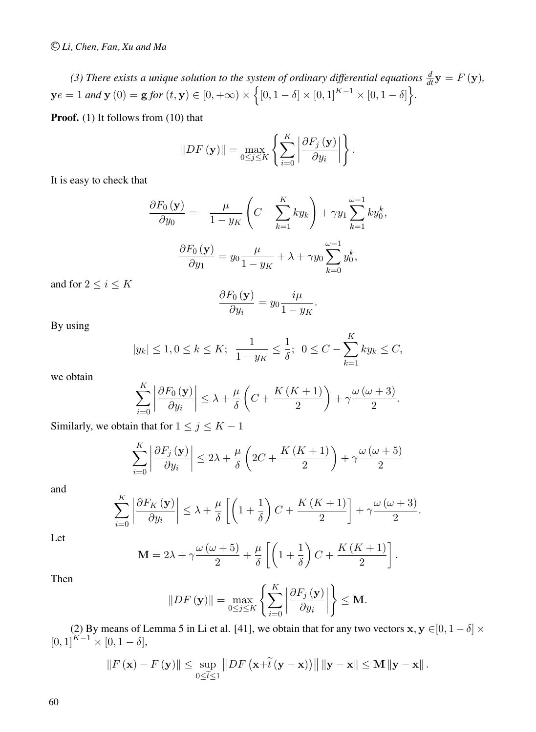*(3) There exists a unique solution to the system of ordinary differential equations*  $\frac{d}{dt}$ **y** =  $F$  (**y**),  $y e = 1$  and  $y(0) = g$  for  $(t, y) \in [0, +\infty) \times \left\{ [0, 1 - \delta] \times [0, 1]^{K-1} \times [0, 1 - \delta] \right\}$ .

**Proof.** (1) It follows from (10) that

$$
||DF(\mathbf{y})|| = \max_{0 \leq j \leq K} \left\{ \sum_{i=0}^{K} \left| \frac{\partial F_j(\mathbf{y})}{\partial y_i} \right| \right\}.
$$

It is easy to check that

$$
\frac{\partial F_0(\mathbf{y})}{\partial y_0} = -\frac{\mu}{1 - y_K} \left( C - \sum_{k=1}^K k y_k \right) + \gamma y_1 \sum_{k=1}^{\omega - 1} k y_0^k,
$$

$$
\frac{\partial F_0(\mathbf{y})}{\partial y_1} = y_0 \frac{\mu}{1 - y_K} + \lambda + \gamma y_0 \sum_{k=0}^{\omega - 1} y_0^k,
$$

and for  $2 \leq i \leq K$ 

$$
\frac{\partial F_0(\mathbf{y})}{\partial y_i} = y_0 \frac{i\mu}{1 - y_K}.
$$

By using

$$
|y_k| \le 1, 0 \le k \le K;
$$
  $\frac{1}{1-y_K} \le \frac{1}{\delta}; 0 \le C - \sum_{k=1}^K k y_k \le C,$ 

we obtain

$$
\sum_{i=0}^{K} \left| \frac{\partial F_0(\mathbf{y})}{\partial y_i} \right| \leq \lambda + \frac{\mu}{\delta} \left( C + \frac{K(K+1)}{2} \right) + \gamma \frac{\omega (\omega + 3)}{2}.
$$

Similarly, we obtain that for  $1 \le j \le K - 1$ 

 $\mathbf{r}$ 

$$
\sum_{i=0}^{K} \left| \frac{\partial F_j \left( \mathbf{y} \right)}{\partial y_i} \right| \le 2\lambda + \frac{\mu}{\delta} \left( 2C + \frac{K\left( K + 1 \right)}{2} \right) + \gamma \frac{\omega \left( \omega + 5 \right)}{2}
$$

and

$$
\sum_{i=0}^{K} \left| \frac{\partial F_K\left(\mathbf{y}\right)}{\partial y_i} \right| \leq \lambda + \frac{\mu}{\delta} \left[ \left( 1 + \frac{1}{\delta} \right) C + \frac{K\left(K+1\right)}{2} \right] + \gamma \frac{\omega\left(\omega+3\right)}{2}.
$$

Let

$$
\mathbf{M} = 2\lambda + \gamma \frac{\omega (\omega + 5)}{2} + \frac{\mu}{\delta} \left[ \left( 1 + \frac{1}{\delta} \right) C + \frac{K (K + 1)}{2} \right].
$$

Then

$$
||DF(\mathbf{y})|| = \max_{0 \leq j \leq K} \left\{ \sum_{i=0}^{K} \left| \frac{\partial F_j(\mathbf{y})}{\partial y_i} \right| \right\} \leq \mathbf{M}.
$$

(2) By means of Lemma 5 in Li et al. [41], we obtain that for any two vectors  $\mathbf{x}, \mathbf{y} \in [0, 1-\delta] \times$  $[0, 1]^{K-1} \times [0, 1 - \delta],$ 

$$
\|F(\mathbf{x}) - F(\mathbf{y})\| \le \sup_{0 \le \tilde{t} \le 1} \|DF\left(\mathbf{x} + \tilde{t}(\mathbf{y} - \mathbf{x})\right)\| \|\mathbf{y} - \mathbf{x}\| \le \mathbf{M} \|\mathbf{y} - \mathbf{x}\|.
$$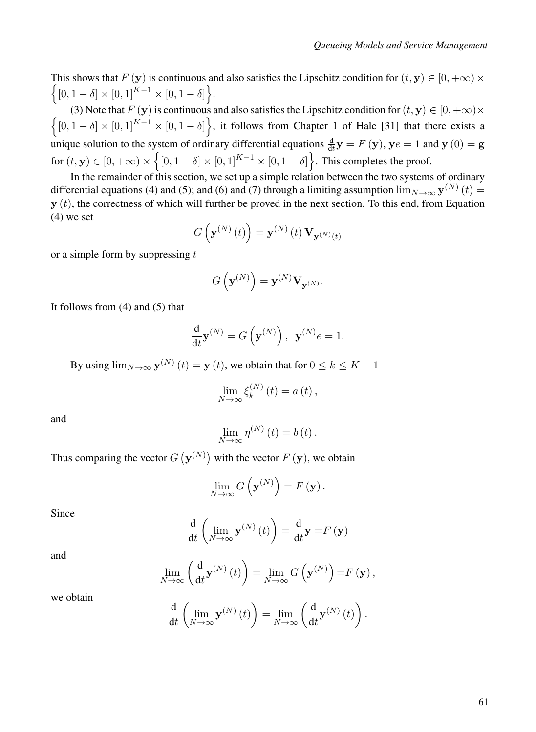This shows that  $F(\mathbf{y})$  is continuous and also satisfies the Lipschitz condition for  $(t, \mathbf{y}) \in [0, +\infty) \times$  $\Big\{[0,1-\delta]\times[0,1]^{K-1}\times[0,1-\delta]\Big\}.$ 

(3) Note that  $F(y)$  is continuous and also satisfies the Lipschitz condition for  $(t, y) \in [0, +\infty) \times$ <br> $\int [0, 1 - \delta] \times [0, 1]^{K-1} \times [0, 1 - \delta]$  it follows from Chapter 1 of Hale [31] that there exists a  $[0, 1 - \delta] \times [0, 1]^{K-1} \times [0, 1 - \delta]$ , it follows from Chapter 1 of Hale [31] that there exists a unique solution to the system of ordinary differential equations  $\frac{d}{dt}y = F(y)$ ,  $ye = 1$  and  $y(0) = g$ for  $(t, \mathbf{y}) \in [0, +\infty) \times \left\{ [0, 1-\delta] \times [0, 1]^{K-1} \times [0, 1-\delta] \right\}$ . This completes the proof.

In the remainder of this section, we set up a simple relation between the two systems of ordinary differential equations (4) and (5); and (6) and (7) through a limiting assumption  $\lim_{N\to\infty}$   $\mathbf{y}^{(N)}(t)$  =  $y(t)$ , the correctness of which will further be proved in the next section. To this end, from Equation (4) we set

$$
G\left(\mathbf{y}^{(N)}\left(t\right)\right) = \mathbf{y}^{(N)}\left(t\right) \mathbf{V}_{\mathbf{y}^{(N)}(t)}
$$

or a simple form by suppressing  $t$ 

$$
G\left(\mathbf{y}^{(N)}\right)=\mathbf{y}^{(N)}\mathbf{V}_{\mathbf{y}^{(N)}}.
$$

It follows from (4) and (5) that

$$
\frac{\mathrm{d}}{\mathrm{d}t}\mathbf{y}^{(N)} = G\left(\mathbf{y}^{(N)}\right), \ \ \mathbf{y}^{(N)}e = 1.
$$

By using  $\lim_{N\to\infty}$   $\mathbf{y}^{(N)}(t) = \mathbf{y}(t)$ , we obtain that for  $0 \le k \le K - 1$ 

$$
\lim_{N \to \infty} \xi_k^{(N)}(t) = a(t),
$$

and

$$
\lim_{N\to\infty}\eta^{(N)}(t)=b(t).
$$

Thus comparing the vector  $G({\bf y}^{(N)})$  with the vector  $F({\bf y})$ , we obtain

$$
\lim_{N\to\infty} G\left(\mathbf{y}^{(N)}\right) = F\left(\mathbf{y}\right).
$$

Since

$$
\frac{\mathrm{d}}{\mathrm{d}t} \left( \lim_{N \to \infty} \mathbf{y}^{(N)}(t) \right) = \frac{\mathrm{d}}{\mathrm{d}t} \mathbf{y} = F(\mathbf{y})
$$

and

$$
\lim_{N \to \infty} \left( \frac{\mathrm{d}}{\mathrm{d}t} \mathbf{y}^{(N)}(t) \right) = \lim_{N \to \infty} G\left( \mathbf{y}^{(N)} \right) = F\left( \mathbf{y} \right),\,
$$

we obtain

$$
\frac{\mathrm{d}}{\mathrm{d}t}\left(\lim_{N\to\infty}\mathbf{y}^{(N)}\left(t\right)\right)=\lim_{N\to\infty}\left(\frac{\mathrm{d}}{\mathrm{d}t}\mathbf{y}^{(N)}\left(t\right)\right).
$$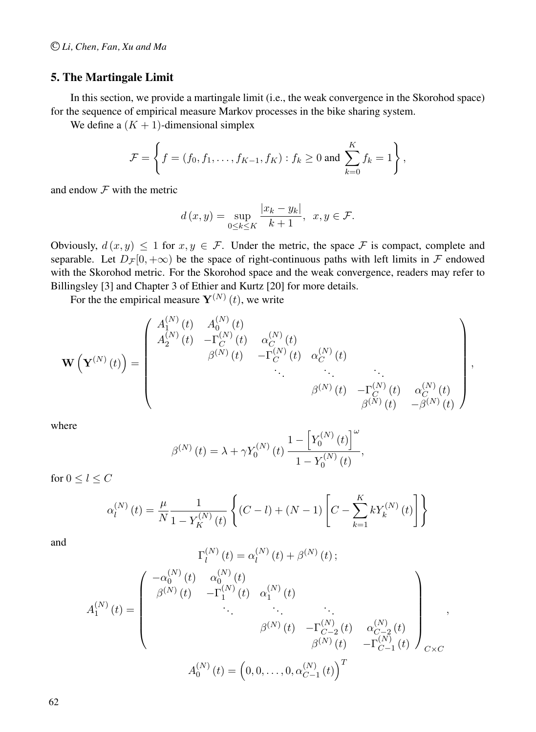## 5. The Martingale Limit

In this section, we provide a martingale limit (i.e., the weak convergence in the Skorohod space) for the sequence of empirical measure Markov processes in the bike sharing system.

We define a  $(K + 1)$ -dimensional simplex

$$
\mathcal{F} = \left\{ f = (f_0, f_1, \dots, f_{K-1}, f_K) : f_k \ge 0 \text{ and } \sum_{k=0}^K f_k = 1 \right\},\
$$

and endow  $F$  with the metric

$$
d(x,y) = \sup_{0 \le k \le K} \frac{|x_k - y_k|}{k+1}, \ \ x, y \in \mathcal{F}.
$$

Obviously,  $d(x, y) \le 1$  for  $x, y \in \mathcal{F}$ . Under the metric, the space  $\mathcal F$  is compact, complete and separable. Let  $D_{\mathcal{F}}[0, +\infty)$  be the space of right-continuous paths with left limits in  $\mathcal F$  endowed with the Skorohod metric. For the Skorohod space and the weak convergence, readers may refer to Billingsley [3] and Chapter 3 of Ethier and Kurtz [20] for more details.

For the the empirical measure  $Y^{(N)}(t)$ , we write

$$
\mathbf{W}\left(\mathbf{Y}^{(N)}(t)\right) = \begin{pmatrix} A_1^{(N)}(t) & A_0^{(N)}(t) & & \\ A_2^{(N)}(t) & -\Gamma_C^{(N)}(t) & \alpha_C^{(N)}(t) & \\ & & \beta^{(N)}(t) & -\Gamma_C^{(N)}(t) & \alpha_C^{(N)}(t) & \\ & & \ddots & \ddots & \ddots & \\ & & & \beta^{(N)}(t) & -\Gamma_C^{(N)}(t) & \alpha_C^{(N)}(t) \\ & & & \beta^{(N)}(t) & -\beta^{(N)}(t) \end{pmatrix},
$$

where

$$
\beta^{(N)}(t) = \lambda + \gamma Y_0^{(N)}(t) \frac{1 - \left[ Y_0^{(N)}(t) \right]^{\omega}}{1 - Y_0^{(N)}(t)},
$$

for  $0 \leq l \leq C$ 

$$
\alpha_l^{(N)}(t) = \frac{\mu}{N} \frac{1}{1 - Y_K^{(N)}(t)} \left\{ (C - l) + (N - 1) \left[ C - \sum_{k=1}^K k Y_k^{(N)}(t) \right] \right\}
$$

and

$$
\Gamma_l^{(N)}(t) = \alpha_l^{(N)}(t) + \beta^{(N)}(t);
$$
\n
$$
A_1^{(N)}(t) = \begin{pmatrix}\n-\alpha_0^{(N)}(t) & \alpha_0^{(N)}(t) & \alpha_1^{(N)}(t) & \dots & \dots & \dots \\
\beta^{(N)}(t) & -\Gamma_1^{(N)}(t) & \alpha_1^{(N)}(t) & \dots & \dots & \dots & \dots \\
& \ddots & \ddots & \ddots & \ddots & \ddots & \dots & \dots \\
& & \beta^{(N)}(t) & -\Gamma_{C-2}^{(N)}(t) & \alpha_{C-2}^{(N)}(t) \\
\vdots & \ddots & \ddots & \vdots & \vdots \\
\beta^{(N)}(t) = (0, 0, \dots, 0, \alpha_{C-1}^{(N)}(t))^T\n\end{pmatrix}_{C \times C}
$$

,

62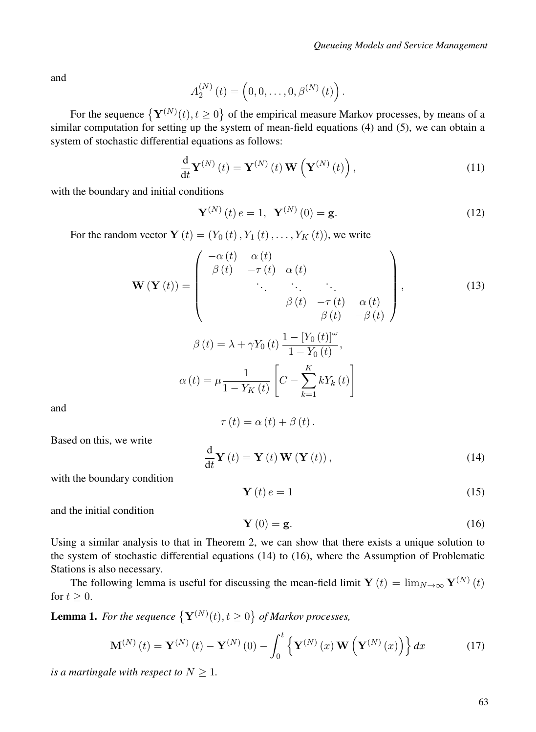and

$$
A_2^{(N)}(t) = (0, 0, \ldots, 0, \beta^{(N)}(t)).
$$

For the sequence  $\{Y^{(N)}(t), t \ge 0\}$  of the empirical measure Markov processes, by means of a similar computation for setting up the system of mean-field equations (4) and (5), we can obtain a system of stochastic differential equations as follows:

$$
\frac{\mathrm{d}}{\mathrm{d}t}\mathbf{Y}^{(N)}\left(t\right) = \mathbf{Y}^{(N)}\left(t\right)\mathbf{W}\left(\mathbf{Y}^{(N)}\left(t\right)\right),\tag{11}
$$

with the boundary and initial conditions

$$
\mathbf{Y}^{(N)}(t) e = 1, \ \mathbf{Y}^{(N)}(0) = \mathbf{g}.
$$
 (12)

For the random vector  $\mathbf{Y}(t)=(Y_0 (t), Y_1 (t),..., Y_K (t))$ , we write

$$
\mathbf{W}\left(\mathbf{Y}\left(t\right)\right) = \begin{pmatrix}\n-\alpha(t) & \alpha(t) & & \\
\beta(t) & -\tau(t) & \alpha(t) & & \\
& \ddots & \ddots & \ddots & \\
& & \beta(t) & -\tau(t) & \alpha(t) \\
& & & \beta(t) & -\beta(t)\n\end{pmatrix},
$$
\n
$$
\beta(t) = \lambda + \gamma Y_0(t) \frac{1 - [Y_0(t)]^{\omega}}{1 - Y_0(t)},
$$
\n
$$
\alpha(t) = \mu \frac{1}{1 - Y_K(t)} \left[C - \sum_{k=1}^K k Y_k(t)\right]
$$
\n(13)

and

$$
\tau(t) = \alpha(t) + \beta(t).
$$

Based on this, we write

$$
\frac{\mathrm{d}}{\mathrm{d}t}\mathbf{Y}\left(t\right) = \mathbf{Y}\left(t\right)\mathbf{W}\left(\mathbf{Y}\left(t\right)\right),\tag{14}
$$

with the boundary condition

$$
\mathbf{Y}\left(t\right)e=1\tag{15}
$$

and the initial condition

$$
\mathbf{Y}\left(0\right) = \mathbf{g}.\tag{16}
$$

Using a similar analysis to that in Theorem 2, we can show that there exists a unique solution to the system of stochastic differential equations (14) to (16), where the Assumption of Problematic Stations is also necessary.

The following lemma is useful for discussing the mean-field limit  $\mathbf{Y}(t) = \lim_{N \to \infty} \mathbf{Y}^{(N)}(t)$ for  $t \geq 0$ .

**Lemma 1.** For the sequence  $\{Y^{(N)}(t), t \ge 0\}$  of Markov processes,

$$
\mathbf{M}^{(N)}\left(t\right) = \mathbf{Y}^{(N)}\left(t\right) - \mathbf{Y}^{(N)}\left(0\right) - \int_0^t \left\{ \mathbf{Y}^{(N)}\left(x\right) \mathbf{W}\left(\mathbf{Y}^{(N)}\left(x\right)\right) \right\} dx \tag{17}
$$

*is a martingale with respect to*  $N \geq 1$ *.*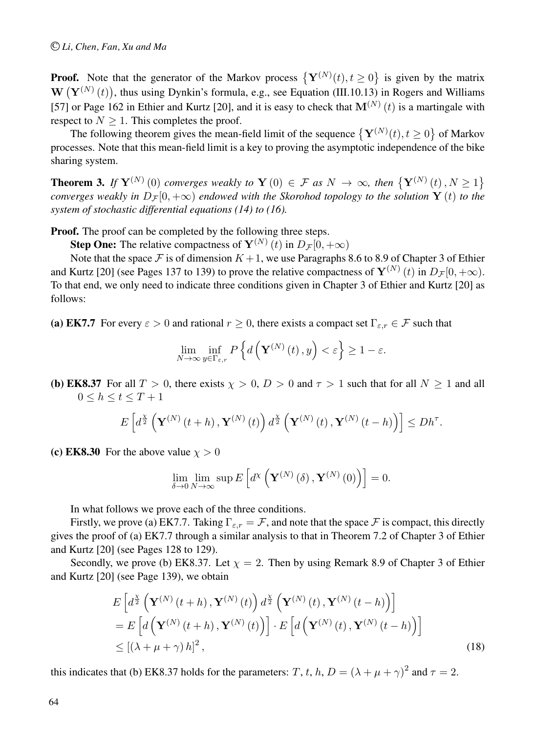**Proof.** Note that the generator of the Markov process  $\{Y^{(N)}(t), t \ge 0\}$  is given by the matrix  $\mathbf{W}\left(\mathbf{Y}^{(N)}\left(t\right)\right)$ , thus using Dynkin's formula, e.g., see Equation (III.10.13) in Rogers and Williams [57] or Page 162 in Ethier and Kurtz [20], and it is easy to check that  $\mathbf{M}^{(N)}(t)$  is a martingale with respect to  $N \geq 1$ . This completes the proof.

The following theorem gives the mean-field limit of the sequence  $\{Y^{(N)}(t), t \ge 0\}$  of Markov processes. Note that this mean-field limit is a key to proving the asymptotic independence of the bike sharing system.

**Theorem 3.** *If*  $Y^{(N)}(0)$  *converges weakly to*  $Y(0) \in \mathcal{F}$  *as*  $N \to \infty$ *, then*  $\{Y^{(N)}(t), N \geq 1\}$ *converges weakly in*  $D_F[0, +\infty)$  *endowed with the Skorohod topology to the solution*  $\mathbf{Y}(t)$  *to the system of stochastic differential equations (14) to (16).*

**Proof.** The proof can be completed by the following three steps.

**Step One:** The relative compactness of  $\mathbf{Y}^{(N)}(t)$  in  $D_{\mathcal{F}}[0, +\infty)$ 

Note that the space F is of dimension  $K + 1$ , we use Paragraphs 8.6 to 8.9 of Chapter 3 of Ethier and Kurtz [20] (see Pages 137 to 139) to prove the relative compactness of  $Y^{(N)}(t)$  in  $D_{\mathcal{F}}[0, +\infty)$ . To that end, we only need to indicate three conditions given in Chapter 3 of Ethier and Kurtz [20] as follows:

(a) EK7.7 For every  $\varepsilon > 0$  and rational  $r \ge 0$ , there exists a compact set  $\Gamma_{\varepsilon,r} \in \mathcal{F}$  such that

$$
\lim_{N \to \infty} \inf_{y \in \Gamma_{\varepsilon,r}} P\left\{ d\left(\mathbf{Y}^{(N)}\left(t\right), y\right) < \varepsilon \right\} \ge 1 - \varepsilon.
$$

(b) EK8.37 For all  $T > 0$ , there exists  $\chi > 0$ ,  $D > 0$  and  $\tau > 1$  such that for all  $N \ge 1$  and all  $0 \leq h \leq t \leq T+1$ 

$$
E\left[d^{\frac{\chi}{2}}\left(\mathbf{Y}^{(N)}\left(t+h\right),\mathbf{Y}^{(N)}\left(t\right)\right)d^{\frac{\chi}{2}}\left(\mathbf{Y}^{(N)}\left(t\right),\mathbf{Y}^{(N)}\left(t-h\right)\right)\right]\le Dh^{\tau}.
$$

(c) EK8.30 For the above value  $\chi > 0$ 

$$
\lim_{\delta \to 0} \lim_{N \to \infty} \sup E\left[d^{\chi}\left(\mathbf{Y}^{(N)}\left(\delta\right), \mathbf{Y}^{(N)}\left(0\right)\right)\right] = 0.
$$

In what follows we prove each of the three conditions.

Firstly, we prove (a) EK7.7. Taking  $\Gamma_{\varepsilon,r} = \mathcal{F}$ , and note that the space  $\mathcal{F}$  is compact, this directly gives the proof of (a) EK7.7 through a similar analysis to that in Theorem 7.2 of Chapter 3 of Ethier and Kurtz [20] (see Pages 128 to 129).

Secondly, we prove (b) EK8.37. Let  $\chi = 2$ . Then by using Remark 8.9 of Chapter 3 of Ethier and Kurtz [20] (see Page 139), we obtain

$$
E\left[d^{\frac{X}{2}}\left(\mathbf{Y}^{(N)}\left(t+h\right),\mathbf{Y}^{(N)}\left(t\right)\right)d^{\frac{X}{2}}\left(\mathbf{Y}^{(N)}\left(t\right),\mathbf{Y}^{(N)}\left(t-h\right)\right)\right]
$$
  
\n
$$
= E\left[d\left(\mathbf{Y}^{(N)}\left(t+h\right),\mathbf{Y}^{(N)}\left(t\right)\right)\right] \cdot E\left[d\left(\mathbf{Y}^{(N)}\left(t\right),\mathbf{Y}^{(N)}\left(t-h\right)\right)\right]
$$
  
\n
$$
\leq \left[\left(\lambda + \mu + \gamma\right)h\right]^{2},
$$
\n(18)

this indicates that (b) EK8.37 holds for the parameters: T, t, h,  $D = (\lambda + \mu + \gamma)^2$  and  $\tau = 2$ .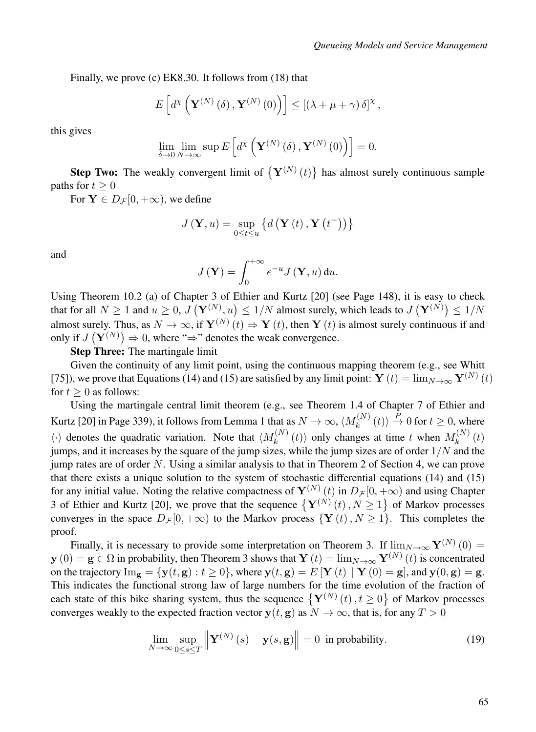Finally, we prove (c) EK8.30. It follows from (18) that

$$
E\left[d^{\chi}\left(\mathbf{Y}^{(N)}\left(\delta\right),\mathbf{Y}^{(N)}\left(0\right)\right)\right] \leq \left[\left(\lambda+\mu+\gamma\right)\delta\right]^{\chi},\
$$

this gives

$$
\lim_{\delta \to 0} \lim_{N \to \infty} \sup E\left[d^{\chi}\left(\mathbf{Y}^{(N)}\left(\delta\right), \mathbf{Y}^{(N)}\left(0\right)\right)\right] = 0.
$$

**Step Two:** The weakly convergent limit of  $\{Y^{(N)}(t)\}\$  has almost surely continuous sample paths for  $t > 0$ 

For  $Y \in D_{\mathcal{F}}[0, +\infty)$ , we define

$$
J(\mathbf{Y}, u) = \sup_{0 \le t \le u} \left\{ d\left(\mathbf{Y}\left(t\right), \mathbf{Y}\left(t^{-}\right)\right) \right\}
$$

and

$$
J(\mathbf{Y}) = \int_0^{+\infty} e^{-u} J(\mathbf{Y}, u) \, \mathrm{d}u.
$$

Using Theorem 10.2 (a) of Chapter 3 of Ethier and Kurtz [20] (see Page 148), it is easy to check that for all  $N \ge 1$  and  $u \ge 0$ ,  $J(\mathbf{Y}^{(N)}, u) \le 1/N$  almost surely, which leads to  $J(\mathbf{Y}^{(N)}) \le 1/N$ almost surely. Thus, as  $N \to \infty$ , if  $\mathbf{Y}^{(N)}(t) \Rightarrow \mathbf{Y}(t)$ , then  $\mathbf{Y}(t)$  is almost surely continuous if and only if  $J(\mathbf{Y}^{(N)}) \Rightarrow 0$ , where " $\Rightarrow$ " denotes the weak convergence.

Step Three: The martingale limit

Given the continuity of any limit point, using the continuous mapping theorem (e.g., see Whitt [75]), we prove that Equations (14) and (15) are satisfied by any limit point:  $\mathbf{Y}(t) = \lim_{N \to \infty} \mathbf{Y}^{(N)}(t)$ for  $t > 0$  as follows:

Using the martingale central limit theorem (e.g., see Theorem 1.4 of Chapter 7 of Ethier and Kurtz [20] in Page 339), it follows from Lemma 1 that as  $N \to \infty$ ,  $\langle M_k^{(N)}(t) \rangle \stackrel{P}{\to} 0$  for  $t \ge 0$ , where  $\langle \cdot \rangle$  denotes the quadratic variation. Note that  $\langle M_k^{(N)}(t) \rangle$  only changes at time t when  $M_k^{(N)}(t)$ jumps, and it increases by the square of the jump sizes, while the jump sizes are of order  $1/N$  and the jump rates are of order  $N$ . Using a similar analysis to that in Theorem 2 of Section 4, we can prove that there exists a unique solution to the system of stochastic differential equations (14) and (15) for any initial value. Noting the relative compactness of  $Y^{(N)}(t)$  in  $D_{\mathcal{F}}[0, +\infty)$  and using Chapter 3 of Ethier and Kurtz [20], we prove that the sequence  $\{Y^{(N)}(t), N \ge 1\}$  of Markov processes converges in the space  $D_{\mathcal{F}}[0, +\infty)$  to the Markov process  $\{Y(t), N \geq 1\}$ . This completes the proof.

Finally, it is necessary to provide some interpretation on Theorem 3. If  $\lim_{N\to\infty} Y^{(N)}(0) =$  $y(0) = g \in \Omega$  in probability, then Theorem 3 shows that  $Y(t) = \lim_{N \to \infty} Y^{(N)}(t)$  is concentrated on the trajectory  $\text{Im}_{g} = \{y(t, g) : t \ge 0\}$ , where  $y(t, g) = E[Y(t) | Y(0) = g]$ , and  $y(0, g) = g$ . This indicates the functional strong law of large numbers for the time evolution of the fraction of each state of this bike sharing system, thus the sequence  $\{Y^{(N)}(t), t \ge 0\}$  of Markov processes converges weakly to the expected fraction vector  $y(t, g)$  as  $N \to \infty$ , that is, for any  $T > 0$ 

$$
\lim_{N \to \infty} \sup_{0 \le s \le T} \left\| \mathbf{Y}^{(N)}(s) - \mathbf{y}(s, \mathbf{g}) \right\| = 0 \text{ in probability.}
$$
\n(19)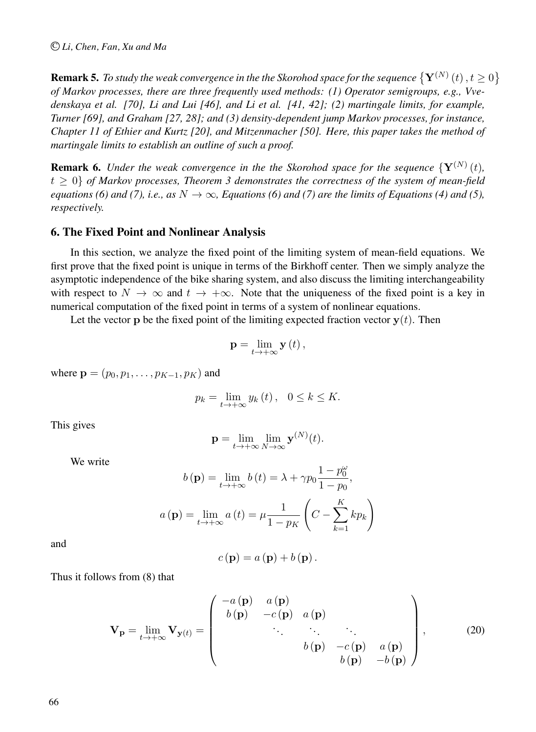#### C *Li, Chen, Fan, Xu and Ma*

**Remark 5.** To study the weak convergence in the the Skorohod space for the sequence  $\{Y^{(N)}(t), t \ge 0\}$ *of Markov processes, there are three frequently used methods: (1) Operator semigroups, e.g., Vvedenskaya et al. [70], Li and Lui [46], and Li et al. [41, 42]; (2) martingale limits, for example, Turner [69], and Graham [27, 28]; and (3) density-dependent jump Markov processes, for instance, Chapter 11 of Ethier and Kurtz [20], and Mitzenmacher [50]. Here, this paper takes the method of martingale limits to establish an outline of such a proof.*

**Remark 6.** *Under the weak convergence in the the Skorohod space for the sequence*  $\{Y^{(N)}(t),\}$  $t \geq 0$  of Markov processes, Theorem 3 demonstrates the correctness of the system of mean-field *equations (6) and (7), i.e., as*  $N \to \infty$ *, Equations (6) and (7) are the limits of Equations (4) and (5), respectively.*

### 6. The Fixed Point and Nonlinear Analysis

In this section, we analyze the fixed point of the limiting system of mean-field equations. We first prove that the fixed point is unique in terms of the Birkhoff center. Then we simply analyze the asymptotic independence of the bike sharing system, and also discuss the limiting interchangeability with respect to  $N \to \infty$  and  $t \to +\infty$ . Note that the uniqueness of the fixed point is a key in numerical computation of the fixed point in terms of a system of nonlinear equations.

Let the vector **p** be the fixed point of the limiting expected fraction vector  $\mathbf{v}(t)$ . Then

$$
\mathbf{p}=\lim_{t\to+\infty}\mathbf{y}\left( t\right) ,
$$

where  ${\bf p} = (p_0, p_1, \dots, p_{K-1}, p_K)$  and

$$
p_k = \lim_{t \to +\infty} y_k(t), \quad 0 \le k \le K.
$$

This gives

$$
\mathbf{p} = \lim_{t \to +\infty} \lim_{N \to \infty} \mathbf{y}^{(N)}(t).
$$

We write

$$
b(\mathbf{p}) = \lim_{t \to +\infty} b(t) = \lambda + \gamma p_0 \frac{1 - p_0^{\omega}}{1 - p_0},
$$
  

$$
a(\mathbf{p}) = \lim_{t \to +\infty} a(t) = \mu \frac{1}{1 - p_K} \left( C - \sum_{k=1}^K k p_k \right)
$$

and

$$
c(\mathbf{p}) = a(\mathbf{p}) + b(\mathbf{p}).
$$

Thus it follows from (8) that

$$
\mathbf{V}_{\mathbf{p}} = \lim_{t \to +\infty} \mathbf{V}_{\mathbf{y}(t)} = \begin{pmatrix} -a(\mathbf{p}) & a(\mathbf{p}) & \\ b(\mathbf{p}) & -c(\mathbf{p}) & a(\mathbf{p}) & \\ & \ddots & \ddots & \ddots & \\ & b(\mathbf{p}) & -c(\mathbf{p}) & a(\mathbf{p}) \\ & b(\mathbf{p}) & -b(\mathbf{p}) \end{pmatrix},\tag{20}
$$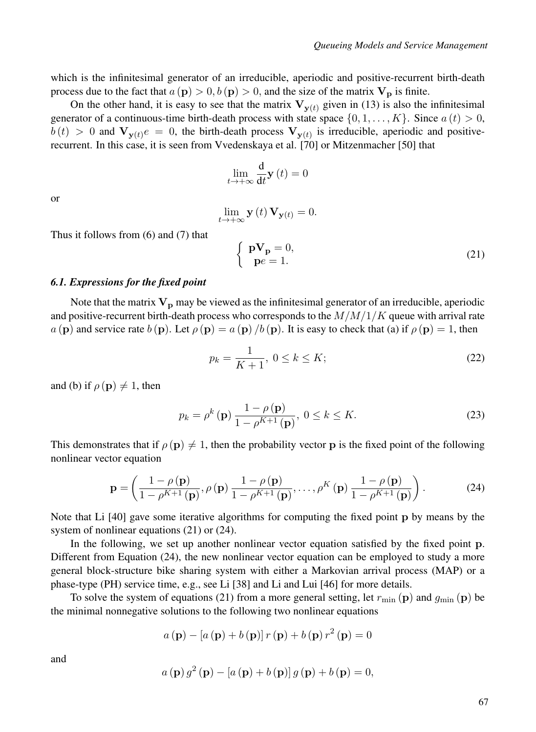which is the infinitesimal generator of an irreducible, aperiodic and positive-recurrent birth-death process due to the fact that  $a(\mathbf{p}) > 0, b(\mathbf{p}) > 0$ , and the size of the matrix  $\mathbf{V}_{\mathbf{p}}$  is finite.

On the other hand, it is easy to see that the matrix  $V_{\mathbf{v}(t)}$  given in (13) is also the infinitesimal generator of a continuous-time birth-death process with state space  $\{0, 1, \ldots, K\}$ . Since  $a(t) > 0$ ,  $b(t) > 0$  and  $V_{\mathbf{v}(t)}e = 0$ , the birth-death process  $V_{\mathbf{v}(t)}$  is irreducible, aperiodic and positiverecurrent. In this case, it is seen from Vvedenskaya et al. [70] or Mitzenmacher [50] that

$$
\lim_{t \to +\infty} \frac{\mathrm{d}}{\mathrm{d}t} \mathbf{y}(t) = 0
$$

or

$$
\lim_{t \to +\infty} \mathbf{y}(t) \mathbf{V}_{\mathbf{y}(t)} = 0.
$$

Thus it follows from (6) and (7) that

$$
\begin{cases} \mathbf{pV_p} = 0, \\ \mathbf{p}e = 1. \end{cases} \tag{21}
$$

#### *6.1. Expressions for the fixed point*

Note that the matrix  $V_p$  may be viewed as the infinitesimal generator of an irreducible, aperiodic and positive-recurrent birth-death process who corresponds to the  $M/M/1/K$  queue with arrival rate a (p) and service rate  $b$  (p). Let  $\rho$  (p) = a (p) /b (p). It is easy to check that (a) if  $\rho$  (p) = 1, then

$$
p_k = \frac{1}{K+1}, \ 0 \le k \le K; \tag{22}
$$

and (b) if  $\rho(\mathbf{p}) \neq 1$ , then

$$
p_k = \rho^k(\mathbf{p}) \frac{1 - \rho(\mathbf{p})}{1 - \rho^{K+1}(\mathbf{p})}, \ 0 \le k \le K. \tag{23}
$$

This demonstrates that if  $\rho(\mathbf{p}) \neq 1$ , then the probability vector p is the fixed point of the following nonlinear vector equation

$$
\mathbf{p} = \left(\frac{1-\rho(\mathbf{p})}{1-\rho^{K+1}(\mathbf{p})}, \rho(\mathbf{p})\frac{1-\rho(\mathbf{p})}{1-\rho^{K+1}(\mathbf{p})}, \dots, \rho^K(\mathbf{p})\frac{1-\rho(\mathbf{p})}{1-\rho^{K+1}(\mathbf{p})}\right).
$$
(24)

Note that Li [40] gave some iterative algorithms for computing the fixed point p by means by the system of nonlinear equations (21) or (24).

In the following, we set up another nonlinear vector equation satisfied by the fixed point p. Different from Equation (24), the new nonlinear vector equation can be employed to study a more general block-structure bike sharing system with either a Markovian arrival process (MAP) or a phase-type (PH) service time, e.g., see Li [38] and Li and Lui [46] for more details.

To solve the system of equations (21) from a more general setting, let  $r_{\min}(\mathbf{p})$  and  $g_{\min}(\mathbf{p})$  be the minimal nonnegative solutions to the following two nonlinear equations

$$
a(\mathbf{p}) - [a(\mathbf{p}) + b(\mathbf{p})]r(\mathbf{p}) + b(\mathbf{p})r^{2}(\mathbf{p}) = 0
$$

and

$$
a(\mathbf{p}) g^{2}(\mathbf{p}) - [a(\mathbf{p}) + b(\mathbf{p})] g(\mathbf{p}) + b(\mathbf{p}) = 0,
$$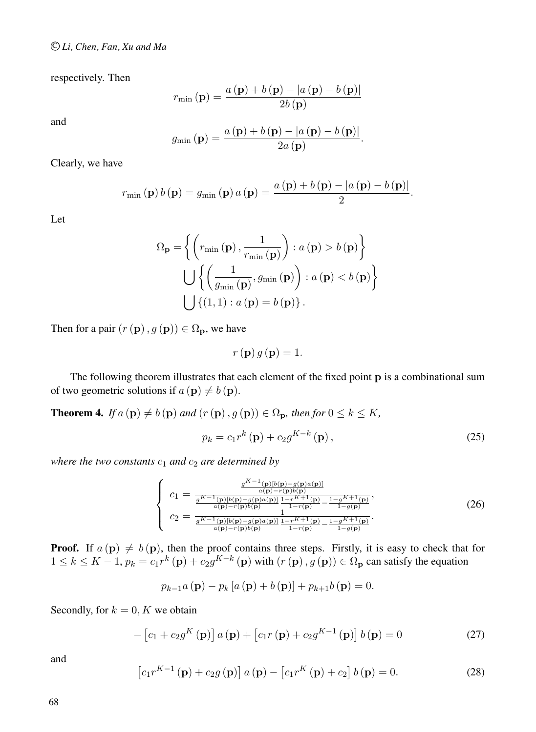respectively. Then

$$
r_{\min}(\mathbf{p}) = \frac{a(\mathbf{p}) + b(\mathbf{p}) - |a(\mathbf{p}) - b(\mathbf{p})|}{2b(\mathbf{p})}
$$

and

$$
g_{\min}(\mathbf{p}) = \frac{a(\mathbf{p}) + b(\mathbf{p}) - |a(\mathbf{p}) - b(\mathbf{p})|}{2a(\mathbf{p})}.
$$

Clearly, we have

$$
r_{\min}(\mathbf{p}) b(\mathbf{p}) = g_{\min}(\mathbf{p}) a(\mathbf{p}) = \frac{a(\mathbf{p}) + b(\mathbf{p}) - |a(\mathbf{p}) - b(\mathbf{p})|}{2}.
$$

Let

$$
\Omega_{\mathbf{p}} = \left\{ \left( r_{\min}(\mathbf{p}), \frac{1}{r_{\min}(\mathbf{p})} \right) : a(\mathbf{p}) > b(\mathbf{p}) \right\}
$$

$$
\bigcup \left\{ \left( \frac{1}{g_{\min}(\mathbf{p})}, g_{\min}(\mathbf{p}) \right) : a(\mathbf{p}) < b(\mathbf{p}) \right\}
$$

$$
\bigcup \left\{ (1, 1) : a(\mathbf{p}) = b(\mathbf{p}) \right\}.
$$

Then for a pair  $(r(\mathbf{p}), g(\mathbf{p})) \in \Omega_{\mathbf{p}}$ , we have

$$
r\left(\mathbf{p}\right)g\left(\mathbf{p}\right) = 1.
$$

The following theorem illustrates that each element of the fixed point p is a combinational sum of two geometric solutions if  $a(\mathbf{p}) \neq b(\mathbf{p})$ .

**Theorem 4.** *If*  $a$  (**p**)  $\neq b$  (**p**) *and* ( $r$  (**p**),  $g$  (**p**))  $\in \Omega_p$ *, then for*  $0 \leq k \leq K$ *,* 

$$
p_k = c_1 r^k \left( \mathbf{p} \right) + c_2 g^{K-k} \left( \mathbf{p} \right), \tag{25}
$$

*where the two constants*  $c_1$  *and*  $c_2$  *are determined by* 

$$
\begin{cases}\nc_1 = \frac{\frac{g^{K-1}(\mathbf{p})[b(\mathbf{p})-g(\mathbf{p})a(\mathbf{p})]}{a(\mathbf{p})-r(\mathbf{p})b(\mathbf{p})}}{\frac{g^{K-1}(\mathbf{p})[b(\mathbf{p})-g(\mathbf{p})a(\mathbf{p})]}{1-r^{K+1}(\mathbf{p})}-\frac{1-g^{K+1}(\mathbf{p})}{1-g(\mathbf{p})}},\\c_2 = \frac{\frac{g^{K-1}(\mathbf{p})[b(\mathbf{p})-g(\mathbf{p})a(\mathbf{p})]}{g^{K-1}(\mathbf{p})[b(\mathbf{p})-g(\mathbf{p})a(\mathbf{p})]}\frac{1-r^{K+1}(\mathbf{p})}{1-r(\mathbf{p})}-\frac{1-g^{K+1}(\mathbf{p})}{1-g(\mathbf{p})}}.\n\end{cases} (26)
$$

**Proof.** If  $a(\mathbf{p}) \neq b(\mathbf{p})$ , then the proof contains three steps. Firstly, it is easy to check that for  $1 \le k \le K - 1$ ,  $p_k = c_1 r^k (\mathbf{p}) + c_2 g^{K-k} (\mathbf{p})$  with  $(r (\mathbf{p}), g (\mathbf{p})) \in \Omega_{\mathbf{p}}$  can satisfy the equation

$$
p_{k-1}a(\mathbf{p}) - p_k[a(\mathbf{p}) + b(\mathbf{p})] + p_{k+1}b(\mathbf{p}) = 0.
$$

Secondly, for  $k = 0, K$  we obtain

$$
- \left[c_1 + c_2 g^K\left(\mathbf{p}\right)\right] a\left(\mathbf{p}\right) + \left[c_1 r\left(\mathbf{p}\right) + c_2 g^{K-1}\left(\mathbf{p}\right)\right] b\left(\mathbf{p}\right) = 0 \tag{27}
$$

and

$$
\left[c_{1}r^{K-1}\left(\mathbf{p}\right)+c_{2}g\left(\mathbf{p}\right)\right]a\left(\mathbf{p}\right)-\left[c_{1}r^{K}\left(\mathbf{p}\right)+c_{2}\right]b\left(\mathbf{p}\right)=0.\tag{28}
$$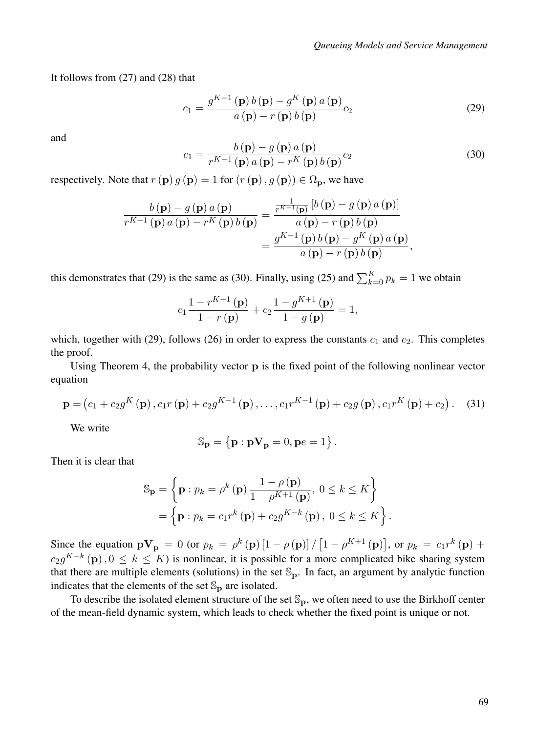It follows from (27) and (28) that

$$
c_1 = \frac{g^{K-1}\left(\mathbf{p}\right)b\left(\mathbf{p}\right) - g^K\left(\mathbf{p}\right)a\left(\mathbf{p}\right)}{a\left(\mathbf{p}\right) - r\left(\mathbf{p}\right)b\left(\mathbf{p}\right)}c_2\tag{29}
$$

and

$$
c_1 = \frac{b(\mathbf{p}) - g(\mathbf{p}) a(\mathbf{p})}{r^{K-1}(\mathbf{p}) a(\mathbf{p}) - r^K(\mathbf{p}) b(\mathbf{p})} c_2
$$
\n(30)

respectively. Note that  $r(\mathbf{p}) g(\mathbf{p}) = 1$  for  $(r(\mathbf{p}), g(\mathbf{p})) \in \Omega_{\mathbf{p}}$ , we have

$$
\frac{b(\mathbf{p}) - g(\mathbf{p}) a(\mathbf{p})}{r^{K-1}(\mathbf{p}) a(\mathbf{p}) - r^K(\mathbf{p}) b(\mathbf{p})} = \frac{\frac{1}{r^{K-1}(\mathbf{p})} [b(\mathbf{p}) - g(\mathbf{p}) a(\mathbf{p})]}{a(\mathbf{p}) - r(\mathbf{p}) b(\mathbf{p})}
$$

$$
= \frac{g^{K-1}(\mathbf{p}) b(\mathbf{p}) - g^K(\mathbf{p}) a(\mathbf{p})}{a(\mathbf{p}) - r(\mathbf{p}) b(\mathbf{p})},
$$

this demonstrates that (29) is the same as (30). Finally, using (25) and  $\sum_{k=0}^{K} p_k = 1$  we obtain

$$
c_1 \frac{1 - r^{K+1}(\mathbf{p})}{1 - r(\mathbf{p})} + c_2 \frac{1 - g^{K+1}(\mathbf{p})}{1 - g(\mathbf{p})} = 1,
$$

which, together with (29), follows (26) in order to express the constants  $c_1$  and  $c_2$ . This completes the proof.

Using Theorem 4, the probability vector p is the fixed point of the following nonlinear vector equation

$$
\mathbf{p} = (c_1 + c_2 g^K(\mathbf{p}), c_1 r(\mathbf{p}) + c_2 g^{K-1}(\mathbf{p}), \dots, c_1 r^{K-1}(\mathbf{p}) + c_2 g(\mathbf{p}), c_1 r^K(\mathbf{p}) + c_2).
$$
 (31)

We write

$$
\mathbb{S}_{\mathbf{p}}=\left\{\mathbf{p}:\mathbf{p}\mathbf{V}_{\mathbf{p}}=0,\mathbf{p}e=1\right\}.
$$

Then it is clear that

$$
\mathbb{S}_{\mathbf{p}} = \left\{ \mathbf{p} : p_k = \rho^k \left( \mathbf{p} \right) \frac{1 - \rho \left( \mathbf{p} \right)}{1 - \rho^{K+1} \left( \mathbf{p} \right)}, \ 0 \le k \le K \right\}
$$

$$
= \left\{ \mathbf{p} : p_k = c_1 r^k \left( \mathbf{p} \right) + c_2 g^{K-k} \left( \mathbf{p} \right), \ 0 \le k \le K \right\}.
$$

Since the equation  $\mathbf{pV_p} = 0$  (or  $p_k = \rho^k(\mathbf{p}) \left[1 - \rho(\mathbf{p})\right] / \left[1 - \rho^{K+1}(\mathbf{p})\right]$ , or  $p_k = c_1 r^k(\mathbf{p}) + c_2 r^k(\mathbf{p})$  $c_2g^{K-k}(\mathbf{p})$ ,  $0 \leq k \leq K$ ) is nonlinear, it is possible for a more complicated bike sharing system that there are multiple elements (solutions) in the set  $\mathbb{S}_p$ . In fact, an argument by analytic function indicates that the elements of the set  $\mathbb{S}_p$  are isolated.

To describe the isolated element structure of the set  $\mathbb{S}_p$ , we often need to use the Birkhoff center of the mean-field dynamic system, which leads to check whether the fixed point is unique or not.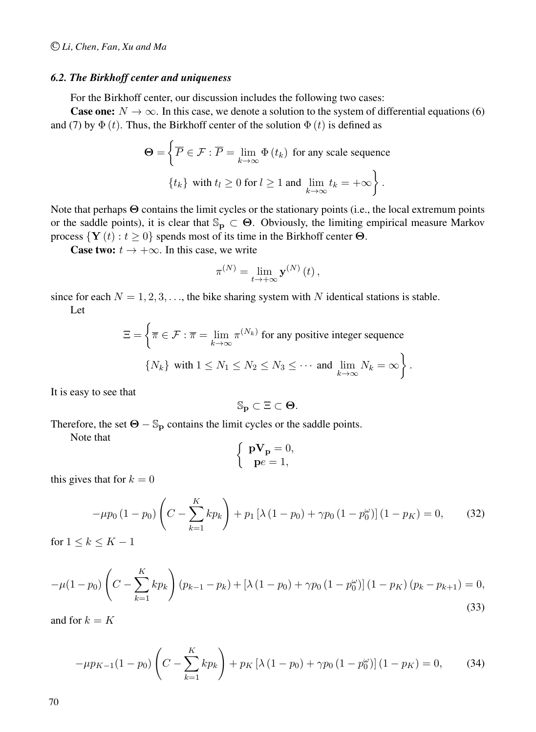#### *6.2. The Birkhoff center and uniqueness*

For the Birkhoff center, our discussion includes the following two cases:

**Case one:**  $N \to \infty$ . In this case, we denote a solution to the system of differential equations (6) and (7) by  $\Phi(t)$ . Thus, the Birkhoff center of the solution  $\Phi(t)$  is defined as

$$
\Theta = \left\{ \overline{P} \in \mathcal{F} : \overline{P} = \lim_{k \to \infty} \Phi(t_k) \text{ for any scale sequence } \{t_k\} \text{ with } t_l \ge 0 \text{ for } l \ge 1 \text{ and } \lim_{k \to \infty} t_k = +\infty \right\}.
$$

Note that perhaps Θ contains the limit cycles or the stationary points (i.e., the local extremum points or the saddle points), it is clear that  $\mathbb{S}_p \subset \Theta$ . Obviously, the limiting empirical measure Markov process  $\{Y(t): t \geq 0\}$  spends most of its time in the Birkhoff center  $\Theta$ .

**Case two:**  $t \rightarrow +\infty$ . In this case, we write

$$
\pi^{(N)} = \lim_{t \to +\infty} \mathbf{y}^{(N)}(t),
$$

since for each  $N = 1, 2, 3, \ldots$ , the bike sharing system with N identical stations is stable. Let

$$
\Xi = \left\{ \overline{\pi} \in \mathcal{F} : \overline{\pi} = \lim_{k \to \infty} \pi^{(N_k)} \text{ for any positive integer sequence } \right\}
$$
  

$$
\{N_k\} \text{ with } 1 \le N_1 \le N_2 \le N_3 \le \cdots \text{ and } \lim_{k \to \infty} N_k = \infty \right\}.
$$

It is easy to see that

$$
\mathbb{S}_\mathbf{p} \subset \Xi \subset \Theta.
$$

Therefore, the set  $\Theta - \mathbb{S}_p$  contains the limit cycles or the saddle points.

Note that

$$
\left\{ \begin{array}{c} \mathbf{pV_p}=0,\\ \mathbf{p}e=1, \end{array} \right.
$$

this gives that for  $k = 0$ 

$$
-\mu p_0 (1 - p_0) \left( C - \sum_{k=1}^{K} k p_k \right) + p_1 \left[ \lambda (1 - p_0) + \gamma p_0 (1 - p_0^{\omega}) \right] (1 - p_K) = 0, \tag{32}
$$

for  $1 \leq k \leq K - 1$ 

$$
-\mu(1-p_0)\left(C - \sum_{k=1}^K k p_k\right)(p_{k-1} - p_k) + \left[\lambda\left(1-p_0\right) + \gamma p_0\left(1-p_0^{\omega}\right)\right](1-p_K)(p_k - p_{k+1}) = 0,
$$
\n(33)

and for  $k = K$ 

$$
-\mu p_{K-1}(1-p_0) \left( C - \sum_{k=1}^{K} k p_k \right) + p_K \left[ \lambda \left( 1 - p_0 \right) + \gamma p_0 \left( 1 - p_0^{\omega} \right) \right] \left( 1 - p_K \right) = 0, \tag{34}
$$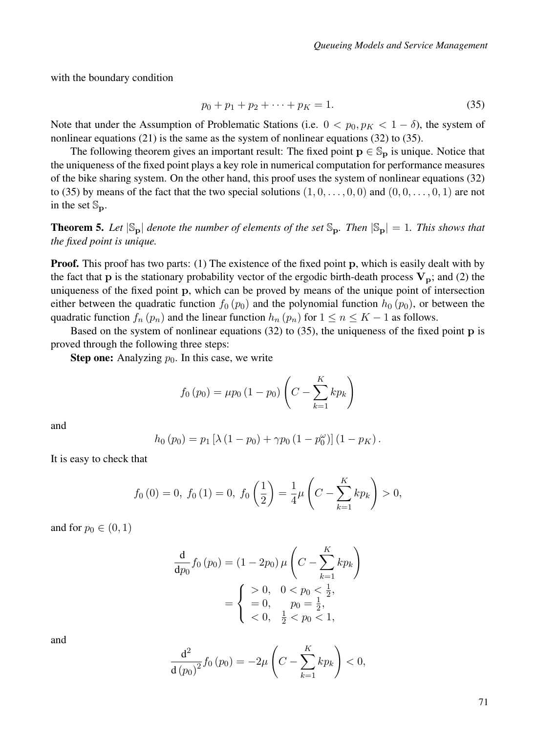with the boundary condition

$$
p_0 + p_1 + p_2 + \dots + p_K = 1. \tag{35}
$$

Note that under the Assumption of Problematic Stations (i.e.  $0 < p_0, p_K < 1 - \delta$ ), the system of nonlinear equations (21) is the same as the system of nonlinear equations (32) to (35).

The following theorem gives an important result: The fixed point  $p \in \mathbb{S}_p$  is unique. Notice that the uniqueness of the fixed point plays a key role in numerical computation for performance measures of the bike sharing system. On the other hand, this proof uses the system of nonlinear equations (32) to (35) by means of the fact that the two special solutions  $(1, 0, \ldots, 0, 0)$  and  $(0, 0, \ldots, 0, 1)$  are not in the set  $\mathbb{S}_p$ .

**Theorem 5.** Let  $|S_p|$  denote the number of elements of the set  $S_p$ . Then  $|S_p| = 1$ . This shows that *the fixed point is unique.*

**Proof.** This proof has two parts: (1) The existence of the fixed point p, which is easily dealt with by the fact that **p** is the stationary probability vector of the ergodic birth-death process  $V_p$ ; and (2) the uniqueness of the fixed point p, which can be proved by means of the unique point of intersection either between the quadratic function  $f_0(p_0)$  and the polynomial function  $h_0(p_0)$ , or between the quadratic function  $f_n(p_n)$  and the linear function  $h_n(p_n)$  for  $1 \le n \le K - 1$  as follows.

Based on the system of nonlinear equations (32) to (35), the uniqueness of the fixed point p is proved through the following three steps:

**Step one:** Analyzing  $p_0$ . In this case, we write

$$
f_0(p_0) = \mu p_0 (1 - p_0) \left( C - \sum_{k=1}^K k p_k \right)
$$

and

$$
h_0(p_0) = p_1 [\lambda (1 - p_0) + \gamma p_0 (1 - p_0^{\omega})] (1 - p_K).
$$

It is easy to check that

$$
f_0(0) = 0
$$
,  $f_0(1) = 0$ ,  $f_0\left(\frac{1}{2}\right) = \frac{1}{4}\mu\left(C - \sum_{k=1}^K k p_k\right) > 0$ ,

and for  $p_0 \in (0, 1)$ 

$$
\frac{d}{dp_0} f_0(p_0) = (1 - 2p_0) \mu \left( C - \sum_{k=1}^K k p_k \right)
$$

$$
= \begin{cases} > 0, & 0 < p_0 < \frac{1}{2}, \\ = 0, & p_0 = \frac{1}{2}, \\ < 0, & \frac{1}{2} < p_0 < 1, \end{cases}
$$

and

$$
\frac{d^{2}}{d(p_{0})^{2}}f_{0}(p_{0}) = -2\mu \left(C - \sum_{k=1}^{K}kp_{k}\right) < 0,
$$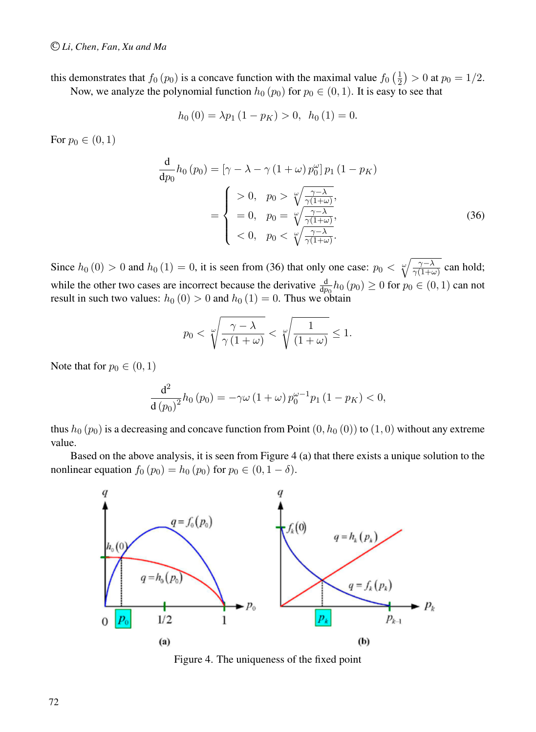this demonstrates that  $f_0(p_0)$  is a concave function with the maximal value  $f_0\left(\frac{1}{2}\right) > 0$  at  $p_0 = 1/2$ .

Now, we analyze the polynomial function  $h_0 (p_0)$  for  $p_0 \in (0, 1)$ . It is easy to see that

$$
h_0(0) = \lambda p_1 (1 - p_K) > 0, \ \ h_0(1) = 0.
$$

For  $p_0 \in (0, 1)$ 

$$
\frac{d}{dp_0}h_0(p_0) = \left[\gamma - \lambda - \gamma (1 + \omega) p_0^{\omega}\right] p_1 (1 - p_K)
$$
\n
$$
= \begin{cases}\n> 0, & p_0 > \sqrt[m]{\frac{\gamma - \lambda}{\gamma (1 + \omega)}},\\
= 0, & p_0 = \sqrt[m]{\frac{\gamma - \lambda}{\gamma (1 + \omega)}},\\
< 0, & p_0 < \sqrt[m]{\frac{\gamma - \lambda}{\gamma (1 + \omega)}}.\n\end{cases} \tag{36}
$$

Since  $h_0(0) > 0$  and  $h_0(1) = 0$ , it is seen from (36) that only one case:  $p_0 < \sqrt[\infty]{\frac{\gamma - \lambda}{\gamma(1+\omega)}}$  can hold; while the other two cases are incorrect because the derivative  $\frac{d}{dp_0}h_0(p_0) \ge 0$  for  $p_0 \in (0,1)$  can not result in such two values:  $h_0 (0) > 0$  and  $h_0 (1) = 0$ . Thus we obtain

$$
p_0 < \sqrt[\omega]{\frac{\gamma - \lambda}{\gamma \left(1 + \omega\right)}} < \sqrt[\omega]{\frac{1}{\left(1 + \omega\right)}} \le 1.
$$

Note that for  $p_0 \in (0, 1)$ 

$$
\frac{d^{2}}{d(p_{0})^{2}}h_{0}(p_{0}) = -\gamma \omega (1 + \omega) p_{0}^{\omega - 1} p_{1} (1 - p_{K}) < 0,
$$

thus  $h_0 (p_0)$  is a decreasing and concave function from Point  $(0, h_0 (0))$  to  $(1, 0)$  without any extreme value.

Based on the above analysis, it is seen from Figure 4 (a) that there exists a unique solution to the nonlinear equation  $f_0 (p_0) = h_0 (p_0)$  for  $p_0 \in (0, 1 - \delta)$ .



Figure 4. The uniqueness of the fixed point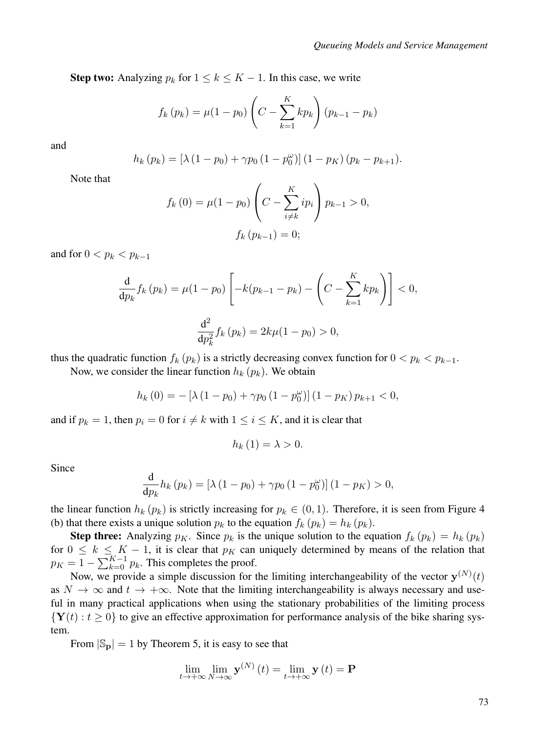**Step two:** Analyzing  $p_k$  for  $1 \leq k \leq K - 1$ . In this case, we write

$$
f_k(p_k) = \mu(1 - p_0) \left( C - \sum_{k=1}^{K} k p_k \right) (p_{k-1} - p_k)
$$

and

$$
h_k(p_k) = [\lambda (1 - p_0) + \gamma p_0 (1 - p_0'')] (1 - p_K) (p_k - p_{k+1}).
$$

Note that

$$
f_k(0) = \mu(1 - p_0) \left( C - \sum_{i \neq k}^{K} i p_i \right) p_{k-1} > 0,
$$
  

$$
f_k(p_{k-1}) = 0;
$$

and for  $0 < p_k < p_{k-1}$ 

$$
\frac{d}{dp_k} f_k(p_k) = \mu(1 - p_0) \left[ -k(p_{k-1} - p_k) - \left( C - \sum_{k=1}^K k p_k \right) \right] < 0,
$$
  

$$
\frac{d^2}{dp_k^2} f_k(p_k) = 2k\mu(1 - p_0) > 0,
$$

thus the quadratic function  $f_k(p_k)$  is a strictly decreasing convex function for  $0 < p_k < p_{k-1}$ .

Now, we consider the linear function  $h_k(p_k)$ . We obtain

$$
h_k(0) = -[\lambda (1 - p_0) + \gamma p_0 (1 - p_0^{\omega})] (1 - p_K) p_{k+1} < 0,
$$

and if  $p_k = 1$ , then  $p_i = 0$  for  $i \neq k$  with  $1 \leq i \leq K$ , and it is clear that

$$
h_{k}(1)=\lambda>0.
$$

Since

$$
\frac{\mathrm{d}}{\mathrm{d}p_k}h_k\left(p_k\right) = \left[\lambda\left(1-p_0\right) + \gamma p_0\left(1-p_0^{\omega}\right)\right]\left(1-p_K\right) > 0,
$$

the linear function  $h_k(p_k)$  is strictly increasing for  $p_k \in (0,1)$ . Therefore, it is seen from Figure 4 (b) that there exists a unique solution  $p_k$  to the equation  $f_k(p_k) = h_k(p_k)$ .

**Step three:** Analyzing  $p_K$ . Since  $p_k$  is the unique solution to the equation  $f_k(p_k) = h_k(p_k)$ for  $0 \le k \le K - 1$ , it is clear that  $p_K$  can uniquely determined by means of the relation that  $p_K = 1 - \sum_{k=0}^{K-1} p_k$ . This completes the proof.

Now, we provide a simple discussion for the limiting interchangeability of the vector  $y^{(N)}(t)$ as  $N \to \infty$  and  $t \to +\infty$ . Note that the limiting interchangeability is always necessary and useful in many practical applications when using the stationary probabilities of the limiting process  $\{Y(t): t \geq 0\}$  to give an effective approximation for performance analysis of the bike sharing system.

From  $|S_p| = 1$  by Theorem 5, it is easy to see that

$$
\lim_{t \to +\infty} \lim_{N \to \infty} \mathbf{y}^{(N)}(t) = \lim_{t \to +\infty} \mathbf{y}(t) = \mathbf{P}
$$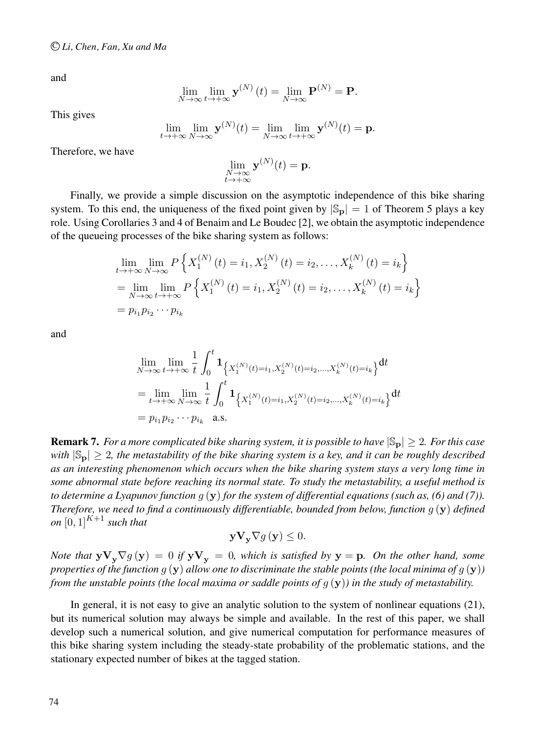and

$$
\lim_{N \to \infty} \lim_{t \to +\infty} \mathbf{y}^{(N)}(t) = \lim_{N \to \infty} \mathbf{P}^{(N)} = \mathbf{P}.
$$

This gives

$$
\lim_{t\to+\infty}\lim_{N\to\infty}\mathbf{y}^{(N)}(t)=\lim_{N\to\infty}\lim_{t\to+\infty}\mathbf{y}^{(N)}(t)=\mathbf{p}.
$$

Therefore, we have

$$
\lim_{\substack{N \to \infty \\ t \to +\infty}} \mathbf{y}^{(N)}(t) = \mathbf{p}.
$$

Finally, we provide a simple discussion on the asymptotic independence of this bike sharing system. To this end, the uniqueness of the fixed point given by  $|S_p| = 1$  of Theorem 5 plays a key role. Using Corollaries 3 and 4 of Benaim and Le Boudec [2], we obtain the asymptotic independence of the queueing processes of the bike sharing system as follows:

$$
\lim_{t \to +\infty} \lim_{N \to \infty} P\left\{ X_1^{(N)}(t) = i_1, X_2^{(N)}(t) = i_2, \dots, X_k^{(N)}(t) = i_k \right\}
$$
\n
$$
= \lim_{N \to \infty} \lim_{t \to +\infty} P\left\{ X_1^{(N)}(t) = i_1, X_2^{(N)}(t) = i_2, \dots, X_k^{(N)}(t) = i_k \right\}
$$
\n
$$
= p_{i_1} p_{i_2} \cdots p_{i_k}
$$

and

$$
\lim_{N \to \infty} \lim_{t \to +\infty} \frac{1}{t} \int_0^t \mathbf{1}_{\left\{X_1^{(N)}(t) = i_1, X_2^{(N)}(t) = i_2, ..., X_k^{(N)}(t) = i_k\right\}} dt
$$
\n
$$
= \lim_{t \to +\infty} \lim_{N \to \infty} \frac{1}{t} \int_0^t \mathbf{1}_{\left\{X_1^{(N)}(t) = i_1, X_2^{(N)}(t) = i_2, ..., X_k^{(N)}(t) = i_k\right\}} dt
$$
\n
$$
= p_{i_1} p_{i_2} \cdots p_{i_k} \quad \text{a.s.}
$$

**Remark 7.** *For a more complicated bike sharing system, it is possible to have*  $|S_p| \geq 2$ *. For this case with*  $|S_p| \geq 2$ , the metastability of the bike sharing system is a key, and it can be roughly described *as an interesting phenomenon which occurs when the bike sharing system stays a very long time in some abnormal state before reaching its normal state. To study the metastability, a useful method is to determine a Lyapunov function* g (y) *for the system of differential equations (such as, (6) and (7)). Therefore, we need to find a continuously differentiable, bounded from below, function* g (y) *defined on*  $[0,1]^{K+1}$  *such that* 

$$
\mathbf{y}\mathbf{V}_{\mathbf{y}}\nabla g\left(\mathbf{y}\right)\leq0.
$$

*Note that*  $yV_v\nabla g(y) = 0$  *if*  $yV_v = 0$ *, which is satisfied by*  $y = p$ *. On the other hand, some properties of the function*  $g(y)$  *allow one to discriminate the stable points (the local minima of*  $g(y)$ ) *from the unstable points (the local maxima or saddle points of* g (y)*) in the study of metastability.*

In general, it is not easy to give an analytic solution to the system of nonlinear equations (21), but its numerical solution may always be simple and available. In the rest of this paper, we shall develop such a numerical solution, and give numerical computation for performance measures of this bike sharing system including the steady-state probability of the problematic stations, and the stationary expected number of bikes at the tagged station.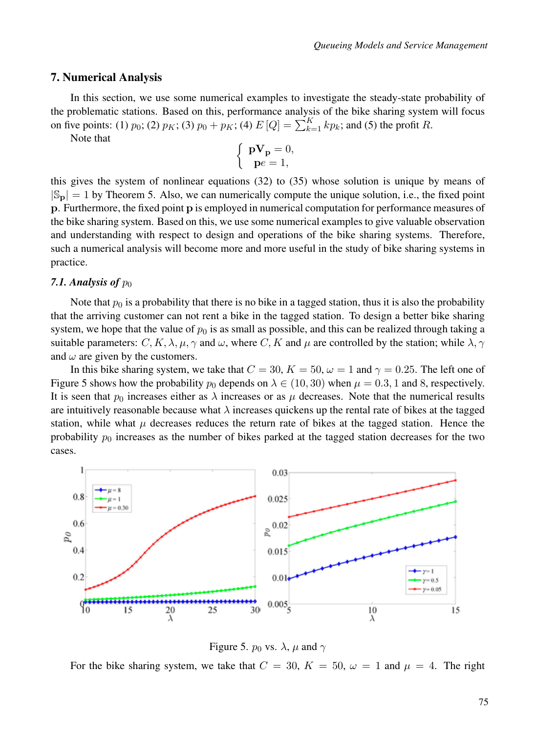### 7. Numerical Analysis

In this section, we use some numerical examples to investigate the steady-state probability of the problematic stations. Based on this, performance analysis of the bike sharing system will focus on five points: (1)  $p_0$ ; (2)  $p_K$ ; (3)  $p_0 + p_K$ ; (4)  $E[Q] = \sum_{k=1}^{K} k p_k$ ; and (5) the profit R.

Note that

$$
\left\{ \begin{array}{c} \mathbf{pV_p}=0,\\ \mathbf{p}e=1, \end{array} \right.
$$

this gives the system of nonlinear equations (32) to (35) whose solution is unique by means of  $|S_p| = 1$  by Theorem 5. Also, we can numerically compute the unique solution, i.e., the fixed point p. Furthermore, the fixed point p is employed in numerical computation for performance measures of the bike sharing system. Based on this, we use some numerical examples to give valuable observation and understanding with respect to design and operations of the bike sharing systems. Therefore, such a numerical analysis will become more and more useful in the study of bike sharing systems in practice.

### 7.1. Analysis of  $p_0$

Note that  $p_0$  is a probability that there is no bike in a tagged station, thus it is also the probability that the arriving customer can not rent a bike in the tagged station. To design a better bike sharing system, we hope that the value of  $p_0$  is as small as possible, and this can be realized through taking a suitable parameters:  $C, K, \lambda, \mu, \gamma$  and  $\omega$ , where C, K and  $\mu$  are controlled by the station; while  $\lambda, \gamma$ and  $\omega$  are given by the customers.

In this bike sharing system, we take that  $C = 30$ ,  $K = 50$ ,  $\omega = 1$  and  $\gamma = 0.25$ . The left one of Figure 5 shows how the probability  $p_0$  depends on  $\lambda \in (10, 30)$  when  $\mu = 0.3, 1$  and 8, respectively. It is seen that  $p_0$  increases either as  $\lambda$  increases or as  $\mu$  decreases. Note that the numerical results are intuitively reasonable because what  $\lambda$  increases quickens up the rental rate of bikes at the tagged station, while what  $\mu$  decreases reduces the return rate of bikes at the tagged station. Hence the probability  $p_0$  increases as the number of bikes parked at the tagged station decreases for the two cases.



Figure 5.  $p_0$  vs.  $\lambda$ ,  $\mu$  and  $\gamma$ 

For the bike sharing system, we take that  $C = 30$ ,  $K = 50$ ,  $\omega = 1$  and  $\mu = 4$ . The right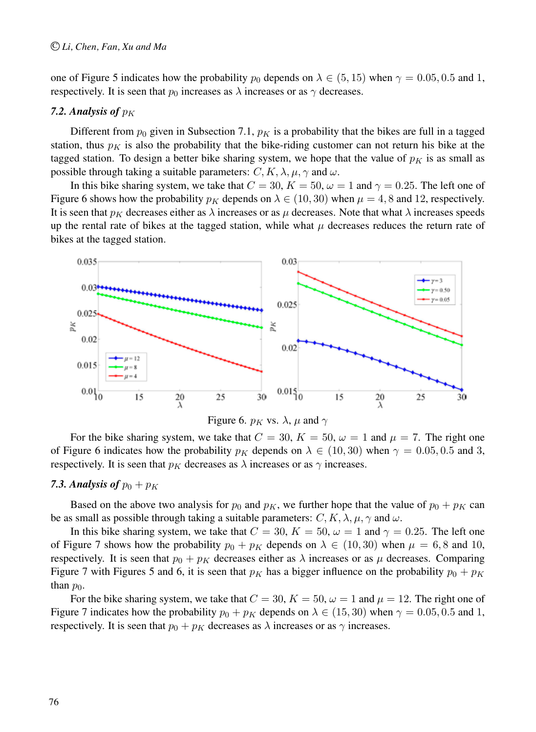one of Figure 5 indicates how the probability  $p_0$  depends on  $\lambda \in (5, 15)$  when  $\gamma = 0.05, 0.5$  and 1, respectively. It is seen that  $p_0$  increases as  $\lambda$  increases or as  $\gamma$  decreases.

# 7.2. Analysis of  $p<sub>K</sub>$

Different from  $p_0$  given in Subsection 7.1,  $p<sub>K</sub>$  is a probability that the bikes are full in a tagged station, thus  $p<sub>K</sub>$  is also the probability that the bike-riding customer can not return his bike at the tagged station. To design a better bike sharing system, we hope that the value of  $p<sub>K</sub>$  is as small as possible through taking a suitable parameters:  $C, K, \lambda, \mu, \gamma$  and  $\omega$ .

In this bike sharing system, we take that  $C = 30$ ,  $K = 50$ ,  $\omega = 1$  and  $\gamma = 0.25$ . The left one of Figure 6 shows how the probability  $p<sub>K</sub>$  depends on  $\lambda \in (10, 30)$  when  $\mu = 4, 8$  and 12, respectively. It is seen that  $p_K$  decreases either as  $\lambda$  increases or as  $\mu$  decreases. Note that what  $\lambda$  increases speeds up the rental rate of bikes at the tagged station, while what  $\mu$  decreases reduces the return rate of bikes at the tagged station.





For the bike sharing system, we take that  $C = 30$ ,  $K = 50$ ,  $\omega = 1$  and  $\mu = 7$ . The right one of Figure 6 indicates how the probability  $p_K$  depends on  $\lambda \in (10, 30)$  when  $\gamma = 0.05, 0.5$  and 3, respectively. It is seen that  $p<sub>K</sub>$  decreases as  $\lambda$  increases or as  $\gamma$  increases.

### **7.3. Analysis of**  $p_0 + p_K$

Based on the above two analysis for  $p_0$  and  $p_K$ , we further hope that the value of  $p_0 + p_K$  can be as small as possible through taking a suitable parameters:  $C, K, \lambda, \mu, \gamma$  and  $\omega$ .

In this bike sharing system, we take that  $C = 30$ ,  $K = 50$ ,  $\omega = 1$  and  $\gamma = 0.25$ . The left one of Figure 7 shows how the probability  $p_0 + p_K$  depends on  $\lambda \in (10, 30)$  when  $\mu = 6, 8$  and 10, respectively. It is seen that  $p_0 + p_K$  decreases either as  $\lambda$  increases or as  $\mu$  decreases. Comparing Figure 7 with Figures 5 and 6, it is seen that  $p_K$  has a bigger influence on the probability  $p_0 + p_K$ than  $p_0$ .

For the bike sharing system, we take that  $C = 30$ ,  $K = 50$ ,  $\omega = 1$  and  $\mu = 12$ . The right one of Figure 7 indicates how the probability  $p_0 + p_K$  depends on  $\lambda \in (15, 30)$  when  $\gamma = 0.05, 0.5$  and 1, respectively. It is seen that  $p_0 + p_K$  decreases as  $\lambda$  increases or as  $\gamma$  increases.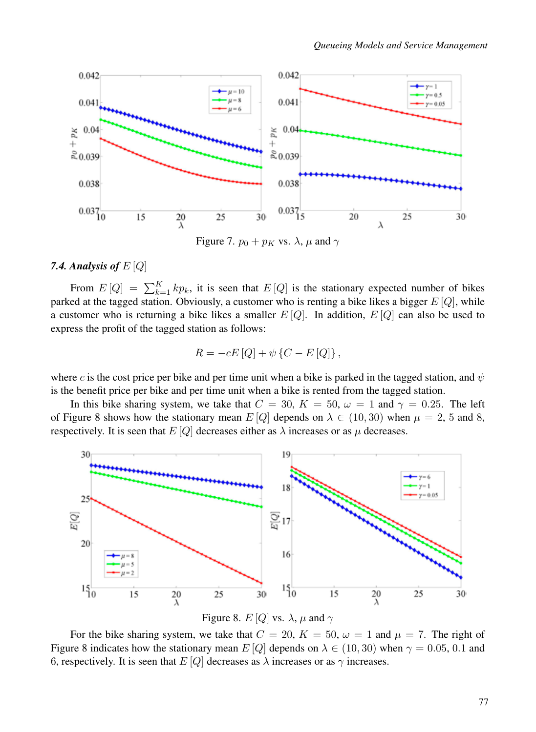

Figure 7.  $p_0 + p_K$  vs.  $\lambda$ ,  $\mu$  and  $\gamma$ 

## *7.4. Analysis of* E [Q]

From  $E[Q] = \sum_{k=1}^{K} k p_k$ , it is seen that  $E[Q]$  is the stationary expected number of bikes parked at the tagged station. Obviously, a customer who is renting a bike likes a bigger  $E[Q]$ , while a customer who is returning a bike likes a smaller  $E[Q]$ . In addition,  $E[Q]$  can also be used to express the profit of the tagged station as follows:

$$
R = -cE\left[Q\right] + \psi\left\{C - E\left[Q\right]\right\},\,
$$

where c is the cost price per bike and per time unit when a bike is parked in the tagged station, and  $\psi$ is the benefit price per bike and per time unit when a bike is rented from the tagged station.

In this bike sharing system, we take that  $C = 30$ ,  $K = 50$ ,  $\omega = 1$  and  $\gamma = 0.25$ . The left of Figure 8 shows how the stationary mean  $E[Q]$  depends on  $\lambda \in (10, 30)$  when  $\mu = 2, 5$  and 8, respectively. It is seen that  $E[Q]$  decreases either as  $\lambda$  increases or as  $\mu$  decreases.



For the bike sharing system, we take that  $C = 20$ ,  $K = 50$ ,  $\omega = 1$  and  $\mu = 7$ . The right of Figure 8 indicates how the stationary mean  $E[Q]$  depends on  $\lambda \in (10, 30)$  when  $\gamma = 0.05, 0.1$  and 6, respectively. It is seen that  $E[Q]$  decreases as  $\lambda$  increases or as  $\gamma$  increases.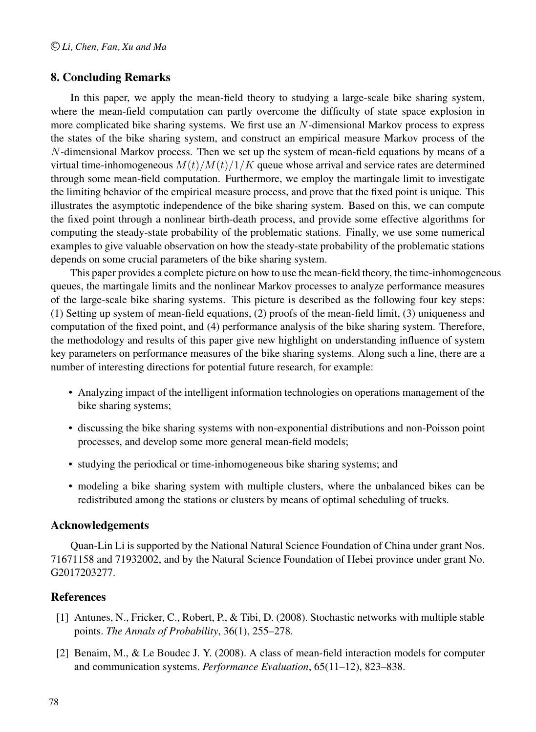# 8. Concluding Remarks

In this paper, we apply the mean-field theory to studying a large-scale bike sharing system, where the mean-field computation can partly overcome the difficulty of state space explosion in more complicated bike sharing systems. We first use an  $N$ -dimensional Markov process to express the states of the bike sharing system, and construct an empirical measure Markov process of the N-dimensional Markov process. Then we set up the system of mean-field equations by means of a virtual time-inhomogeneous  $M(t)/M(t)/1/K$  queue whose arrival and service rates are determined through some mean-field computation. Furthermore, we employ the martingale limit to investigate the limiting behavior of the empirical measure process, and prove that the fixed point is unique. This illustrates the asymptotic independence of the bike sharing system. Based on this, we can compute the fixed point through a nonlinear birth-death process, and provide some effective algorithms for computing the steady-state probability of the problematic stations. Finally, we use some numerical examples to give valuable observation on how the steady-state probability of the problematic stations depends on some crucial parameters of the bike sharing system.

This paper provides a complete picture on how to use the mean-field theory, the time-inhomogeneous queues, the martingale limits and the nonlinear Markov processes to analyze performance measures of the large-scale bike sharing systems. This picture is described as the following four key steps: (1) Setting up system of mean-field equations, (2) proofs of the mean-field limit, (3) uniqueness and computation of the fixed point, and (4) performance analysis of the bike sharing system. Therefore, the methodology and results of this paper give new highlight on understanding influence of system key parameters on performance measures of the bike sharing systems. Along such a line, there are a number of interesting directions for potential future research, for example:

- Analyzing impact of the intelligent information technologies on operations management of the bike sharing systems;
- discussing the bike sharing systems with non-exponential distributions and non-Poisson point processes, and develop some more general mean-field models;
- studying the periodical or time-inhomogeneous bike sharing systems; and
- modeling a bike sharing system with multiple clusters, where the unbalanced bikes can be redistributed among the stations or clusters by means of optimal scheduling of trucks.

# Acknowledgements

Quan-Lin Li is supported by the National Natural Science Foundation of China under grant Nos. 71671158 and 71932002, and by the Natural Science Foundation of Hebei province under grant No. G2017203277.

# References

- [1] Antunes, N., Fricker, C., Robert, P., & Tibi, D. (2008). Stochastic networks with multiple stable points. *The Annals of Probability*, 36(1), 255–278.
- [2] Benaim, M., & Le Boudec J. Y. (2008). A class of mean-field interaction models for computer and communication systems. *Performance Evaluation*, 65(11–12), 823–838.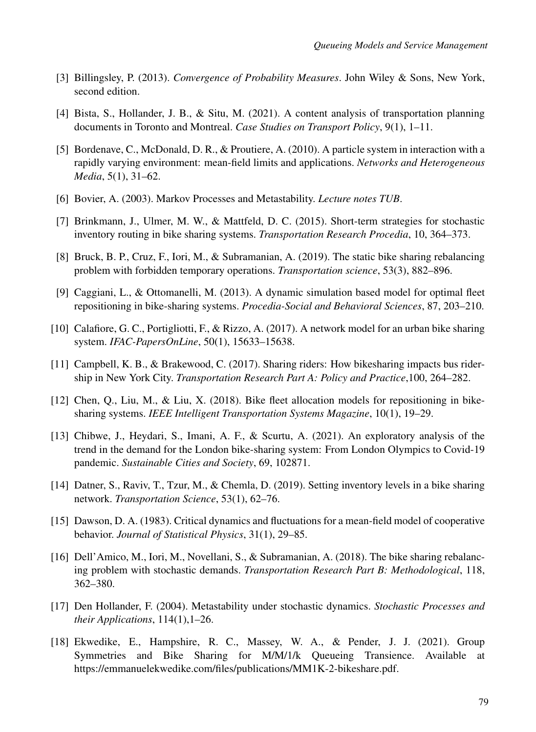- [3] Billingsley, P. (2013). *Convergence of Probability Measures*. John Wiley & Sons, New York, second edition.
- [4] Bista, S., Hollander, J. B., & Situ, M. (2021). A content analysis of transportation planning documents in Toronto and Montreal. *Case Studies on Transport Policy*, 9(1), 1–11.
- [5] Bordenave, C., McDonald, D. R., & Proutiere, A. (2010). A particle system in interaction with a rapidly varying environment: mean-field limits and applications. *Networks and Heterogeneous Media*, 5(1), 31–62.
- [6] Bovier, A. (2003). Markov Processes and Metastability. *Lecture notes TUB*.
- [7] Brinkmann, J., Ulmer, M. W., & Mattfeld, D. C. (2015). Short-term strategies for stochastic inventory routing in bike sharing systems. *Transportation Research Procedia*, 10, 364–373.
- [8] Bruck, B. P., Cruz, F., Iori, M., & Subramanian, A. (2019). The static bike sharing rebalancing problem with forbidden temporary operations. *Transportation science*, 53(3), 882–896.
- [9] Caggiani, L., & Ottomanelli, M. (2013). A dynamic simulation based model for optimal fleet repositioning in bike-sharing systems. *Procedia-Social and Behavioral Sciences*, 87, 203–210.
- [10] Calafiore, G. C., Portigliotti, F., & Rizzo, A. (2017). A network model for an urban bike sharing system. *IFAC-PapersOnLine*, 50(1), 15633–15638.
- [11] Campbell, K. B., & Brakewood, C. (2017). Sharing riders: How bikesharing impacts bus ridership in New York City. *Transportation Research Part A: Policy and Practice*,100, 264–282.
- [12] Chen, Q., Liu, M., & Liu, X. (2018). Bike fleet allocation models for repositioning in bikesharing systems. *IEEE Intelligent Transportation Systems Magazine*, 10(1), 19–29.
- [13] Chibwe, J., Heydari, S., Imani, A. F., & Scurtu, A. (2021). An exploratory analysis of the trend in the demand for the London bike-sharing system: From London Olympics to Covid-19 pandemic. *Sustainable Cities and Society*, 69, 102871.
- [14] Datner, S., Raviv, T., Tzur, M., & Chemla, D. (2019). Setting inventory levels in a bike sharing network. *Transportation Science*, 53(1), 62–76.
- [15] Dawson, D. A. (1983). Critical dynamics and fluctuations for a mean-field model of cooperative behavior. *Journal of Statistical Physics*, 31(1), 29–85.
- [16] Dell'Amico, M., Iori, M., Novellani, S., & Subramanian, A. (2018). The bike sharing rebalancing problem with stochastic demands. *Transportation Research Part B: Methodological*, 118, 362–380.
- [17] Den Hollander, F. (2004). Metastability under stochastic dynamics. *Stochastic Processes and their Applications*, 114(1),1–26.
- [18] Ekwedike, E., Hampshire, R. C., Massey, W. A., & Pender, J. J. (2021). Group Symmetries and Bike Sharing for M/M/1/k Queueing Transience. Available at https://emmanuelekwedike.com/files/publications/MM1K-2-bikeshare.pdf.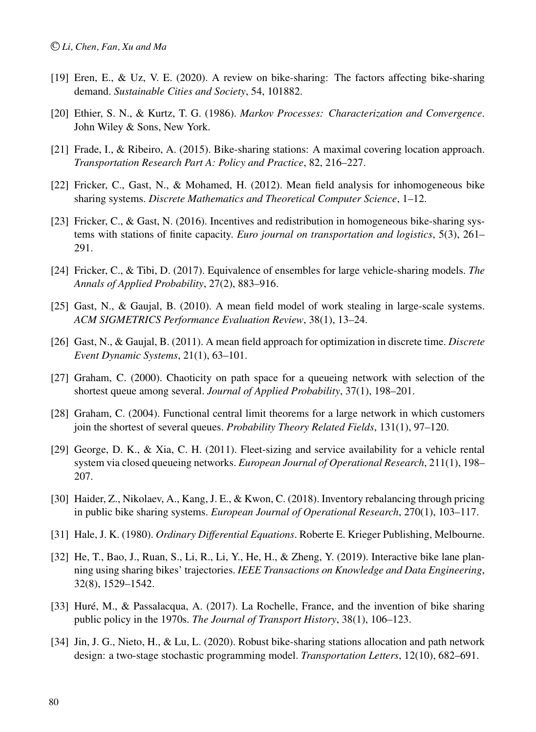- [19] Eren, E., & Uz, V. E. (2020). A review on bike-sharing: The factors affecting bike-sharing demand. *Sustainable Cities and Society*, 54, 101882.
- [20] Ethier, S. N., & Kurtz, T. G. (1986). *Markov Processes: Characterization and Convergence*. John Wiley & Sons, New York.
- [21] Frade, I., & Ribeiro, A. (2015). Bike-sharing stations: A maximal covering location approach. *Transportation Research Part A: Policy and Practice*, 82, 216–227.
- [22] Fricker, C., Gast, N., & Mohamed, H. (2012). Mean field analysis for inhomogeneous bike sharing systems. *Discrete Mathematics and Theoretical Computer Science*, 1–12.
- [23] Fricker, C., & Gast, N. (2016). Incentives and redistribution in homogeneous bike-sharing systems with stations of finite capacity. *Euro journal on transportation and logistics*, 5(3), 261– 291.
- [24] Fricker, C., & Tibi, D. (2017). Equivalence of ensembles for large vehicle-sharing models. *The Annals of Applied Probability*, 27(2), 883–916.
- [25] Gast, N., & Gaujal, B. (2010). A mean field model of work stealing in large-scale systems. *ACM SIGMETRICS Performance Evaluation Review*, 38(1), 13–24.
- [26] Gast, N., & Gaujal, B. (2011). A mean field approach for optimization in discrete time. *Discrete Event Dynamic Systems*, 21(1), 63–101.
- [27] Graham, C. (2000). Chaoticity on path space for a queueing network with selection of the shortest queue among several. *Journal of Applied Probability*, 37(1), 198–201.
- [28] Graham, C. (2004). Functional central limit theorems for a large network in which customers join the shortest of several queues. *Probability Theory Related Fields*, 131(1), 97–120.
- [29] George, D. K., & Xia, C. H. (2011). Fleet-sizing and service availability for a vehicle rental system via closed queueing networks. *European Journal of Operational Research*, 211(1), 198– 207.
- [30] Haider, Z., Nikolaev, A., Kang, J. E., & Kwon, C. (2018). Inventory rebalancing through pricing in public bike sharing systems. *European Journal of Operational Research*, 270(1), 103–117.
- [31] Hale, J. K. (1980). *Ordinary Differential Equations*. Roberte E. Krieger Publishing, Melbourne.
- [32] He, T., Bao, J., Ruan, S., Li, R., Li, Y., He, H., & Zheng, Y. (2019). Interactive bike lane planning using sharing bikes' trajectories. *IEEE Transactions on Knowledge and Data Engineering*, 32(8), 1529–1542.
- [33] Huré, M., & Passalacqua, A. (2017). La Rochelle, France, and the invention of bike sharing public policy in the 1970s. *The Journal of Transport History*, 38(1), 106–123.
- [34] Jin, J. G., Nieto, H., & Lu, L. (2020). Robust bike-sharing stations allocation and path network design: a two-stage stochastic programming model. *Transportation Letters*, 12(10), 682–691.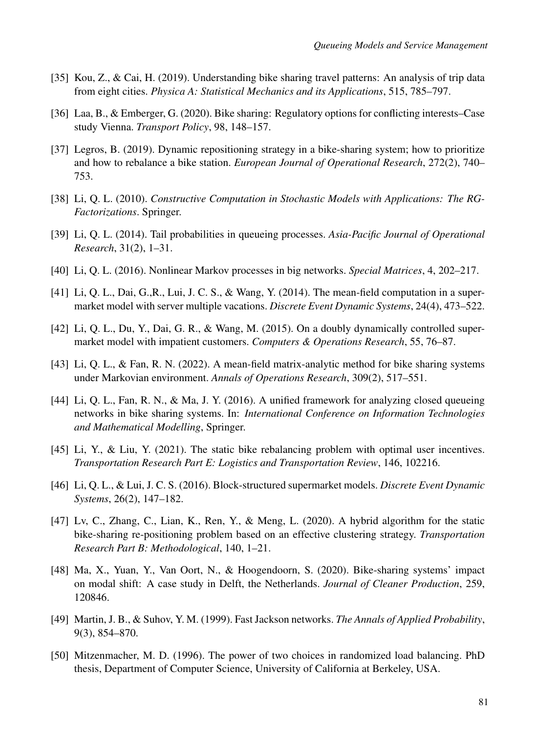- [35] Kou, Z., & Cai, H. (2019). Understanding bike sharing travel patterns: An analysis of trip data from eight cities. *Physica A: Statistical Mechanics and its Applications*, 515, 785–797.
- [36] Laa, B., & Emberger, G. (2020). Bike sharing: Regulatory options for conflicting interests–Case study Vienna. *Transport Policy*, 98, 148–157.
- [37] Legros, B. (2019). Dynamic repositioning strategy in a bike-sharing system; how to prioritize and how to rebalance a bike station. *European Journal of Operational Research*, 272(2), 740– 753.
- [38] Li, Q. L. (2010). *Constructive Computation in Stochastic Models with Applications: The RG-Factorizations*. Springer.
- [39] Li, Q. L. (2014). Tail probabilities in queueing processes. *Asia-Pacific Journal of Operational Research*, 31(2), 1–31.
- [40] Li, Q. L. (2016). Nonlinear Markov processes in big networks. *Special Matrices*, 4, 202–217.
- [41] Li, Q. L., Dai, G.,R., Lui, J. C. S., & Wang, Y. (2014). The mean-field computation in a supermarket model with server multiple vacations. *Discrete Event Dynamic Systems*, 24(4), 473–522.
- [42] Li, Q. L., Du, Y., Dai, G. R., & Wang, M. (2015). On a doubly dynamically controlled supermarket model with impatient customers. *Computers & Operations Research*, 55, 76–87.
- [43] Li, Q. L., & Fan, R. N. (2022). A mean-field matrix-analytic method for bike sharing systems under Markovian environment. *Annals of Operations Research*, 309(2), 517–551.
- [44] Li, Q. L., Fan, R. N., & Ma, J. Y. (2016). A unified framework for analyzing closed queueing networks in bike sharing systems. In: *International Conference on Information Technologies and Mathematical Modelling*, Springer.
- [45] Li, Y., & Liu, Y. (2021). The static bike rebalancing problem with optimal user incentives. *Transportation Research Part E: Logistics and Transportation Review*, 146, 102216.
- [46] Li, Q. L., & Lui, J. C. S. (2016). Block-structured supermarket models. *Discrete Event Dynamic Systems*, 26(2), 147–182.
- [47] Lv, C., Zhang, C., Lian, K., Ren, Y., & Meng, L. (2020). A hybrid algorithm for the static bike-sharing re-positioning problem based on an effective clustering strategy. *Transportation Research Part B: Methodological*, 140, 1–21.
- [48] Ma, X., Yuan, Y., Van Oort, N., & Hoogendoorn, S. (2020). Bike-sharing systems' impact on modal shift: A case study in Delft, the Netherlands. *Journal of Cleaner Production*, 259, 120846.
- [49] Martin, J. B., & Suhov, Y. M. (1999). Fast Jackson networks. *The Annals of Applied Probability*, 9(3), 854–870.
- [50] Mitzenmacher, M. D. (1996). The power of two choices in randomized load balancing. PhD thesis, Department of Computer Science, University of California at Berkeley, USA.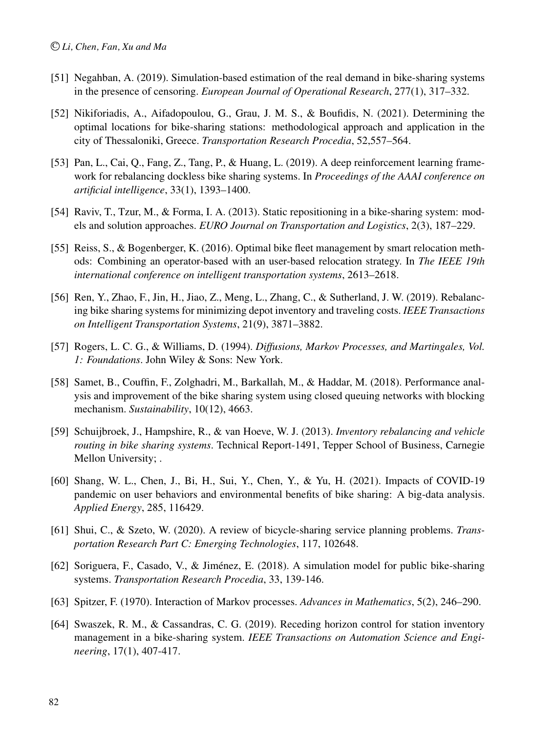- [51] Negahban, A. (2019). Simulation-based estimation of the real demand in bike-sharing systems in the presence of censoring. *European Journal of Operational Research*, 277(1), 317–332.
- [52] Nikiforiadis, A., Aifadopoulou, G., Grau, J. M. S., & Boufidis, N. (2021). Determining the optimal locations for bike-sharing stations: methodological approach and application in the city of Thessaloniki, Greece. *Transportation Research Procedia*, 52,557–564.
- [53] Pan, L., Cai, Q., Fang, Z., Tang, P., & Huang, L. (2019). A deep reinforcement learning framework for rebalancing dockless bike sharing systems. In *Proceedings of the AAAI conference on artificial intelligence*, 33(1), 1393–1400.
- [54] Raviv, T., Tzur, M., & Forma, I. A. (2013). Static repositioning in a bike-sharing system: models and solution approaches. *EURO Journal on Transportation and Logistics*, 2(3), 187–229.
- [55] Reiss, S., & Bogenberger, K. (2016). Optimal bike fleet management by smart relocation methods: Combining an operator-based with an user-based relocation strategy. In *The IEEE 19th international conference on intelligent transportation systems*, 2613–2618.
- [56] Ren, Y., Zhao, F., Jin, H., Jiao, Z., Meng, L., Zhang, C., & Sutherland, J. W. (2019). Rebalancing bike sharing systems for minimizing depot inventory and traveling costs. *IEEE Transactions on Intelligent Transportation Systems*, 21(9), 3871–3882.
- [57] Rogers, L. C. G., & Williams, D. (1994). *Diffusions, Markov Processes, and Martingales, Vol. 1: Foundations*. John Wiley & Sons: New York.
- [58] Samet, B., Couffin, F., Zolghadri, M., Barkallah, M., & Haddar, M. (2018). Performance analysis and improvement of the bike sharing system using closed queuing networks with blocking mechanism. *Sustainability*, 10(12), 4663.
- [59] Schuijbroek, J., Hampshire, R., & van Hoeve, W. J. (2013). *Inventory rebalancing and vehicle routing in bike sharing systems*. Technical Report-1491, Tepper School of Business, Carnegie Mellon University; .
- [60] Shang, W. L., Chen, J., Bi, H., Sui, Y., Chen, Y., & Yu, H. (2021). Impacts of COVID-19 pandemic on user behaviors and environmental benefits of bike sharing: A big-data analysis. *Applied Energy*, 285, 116429.
- [61] Shui, C., & Szeto, W. (2020). A review of bicycle-sharing service planning problems. *Transportation Research Part C: Emerging Technologies*, 117, 102648.
- [62] Soriguera, F., Casado, V., & Jimenez, E. (2018). A simulation model for public bike-sharing ´ systems. *Transportation Research Procedia*, 33, 139-146.
- [63] Spitzer, F. (1970). Interaction of Markov processes. *Advances in Mathematics*, 5(2), 246–290.
- [64] Swaszek, R. M., & Cassandras, C. G. (2019). Receding horizon control for station inventory management in a bike-sharing system. *IEEE Transactions on Automation Science and Engineering*, 17(1), 407-417.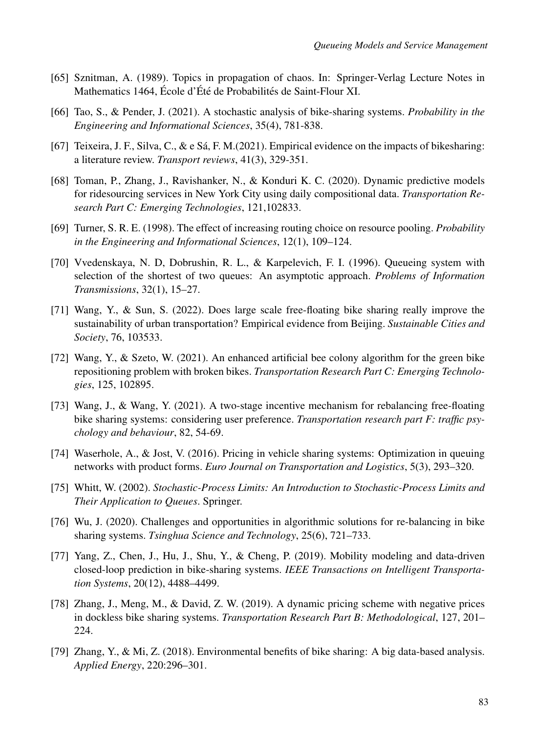- [65] Sznitman, A. (1989). Topics in propagation of chaos. In: Springer-Verlag Lecture Notes in Mathematics 1464, École d'Été de Probabilités de Saint-Flour XI.
- [66] Tao, S., & Pender, J. (2021). A stochastic analysis of bike-sharing systems. *Probability in the Engineering and Informational Sciences*, 35(4), 781-838.
- [67] Teixeira, J. F., Silva, C., & e Sá, F. M.(2021). Empirical evidence on the impacts of bikesharing: a literature review. *Transport reviews*, 41(3), 329-351.
- [68] Toman, P., Zhang, J., Ravishanker, N., & Konduri K. C. (2020). Dynamic predictive models for ridesourcing services in New York City using daily compositional data. *Transportation Research Part C: Emerging Technologies*, 121,102833.
- [69] Turner, S. R. E. (1998). The effect of increasing routing choice on resource pooling. *Probability in the Engineering and Informational Sciences*, 12(1), 109–124.
- [70] Vvedenskaya, N. D, Dobrushin, R. L., & Karpelevich, F. I. (1996). Queueing system with selection of the shortest of two queues: An asymptotic approach. *Problems of Information Transmissions*, 32(1), 15–27.
- [71] Wang, Y., & Sun, S. (2022). Does large scale free-floating bike sharing really improve the sustainability of urban transportation? Empirical evidence from Beijing. *Sustainable Cities and Society*, 76, 103533.
- [72] Wang, Y., & Szeto, W. (2021). An enhanced artificial bee colony algorithm for the green bike repositioning problem with broken bikes. *Transportation Research Part C: Emerging Technologies*, 125, 102895.
- [73] Wang, J., & Wang, Y. (2021). A two-stage incentive mechanism for rebalancing free-floating bike sharing systems: considering user preference. *Transportation research part F: traffic psychology and behaviour*, 82, 54-69.
- [74] Waserhole, A., & Jost, V. (2016). Pricing in vehicle sharing systems: Optimization in queuing networks with product forms. *Euro Journal on Transportation and Logistics*, 5(3), 293–320.
- [75] Whitt, W. (2002). *Stochastic-Process Limits: An Introduction to Stochastic-Process Limits and Their Application to Queues*. Springer.
- [76] Wu, J. (2020). Challenges and opportunities in algorithmic solutions for re-balancing in bike sharing systems. *Tsinghua Science and Technology*, 25(6), 721–733.
- [77] Yang, Z., Chen, J., Hu, J., Shu, Y., & Cheng, P. (2019). Mobility modeling and data-driven closed-loop prediction in bike-sharing systems. *IEEE Transactions on Intelligent Transportation Systems*, 20(12), 4488–4499.
- [78] Zhang, J., Meng, M., & David, Z. W. (2019). A dynamic pricing scheme with negative prices in dockless bike sharing systems. *Transportation Research Part B: Methodological*, 127, 201– 224.
- [79] Zhang, Y., & Mi, Z. (2018). Environmental benefits of bike sharing: A big data-based analysis. *Applied Energy*, 220:296–301.